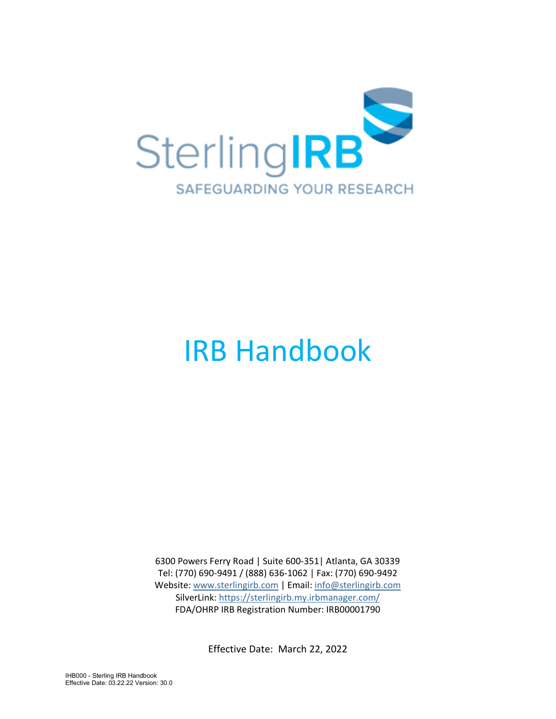

# IRB Handbook

6300 Powers Ferry Road | Suite 600-351| Atlanta, GA 30339 Tel: (770) 690-9491 / (888) 636-1062 | Fax: (770) 690-9492 Website: [www.sterlingirb.com](http://sterlingirb.com/) | Email: [info@sterlingirb.com](mailto:info@sterlingirb.com) SilverLink:<https://sterlingirb.my.irbmanager.com/> FDA/OHRP IRB Registration Number: IRB00001790

Effective Date: March 22, 2022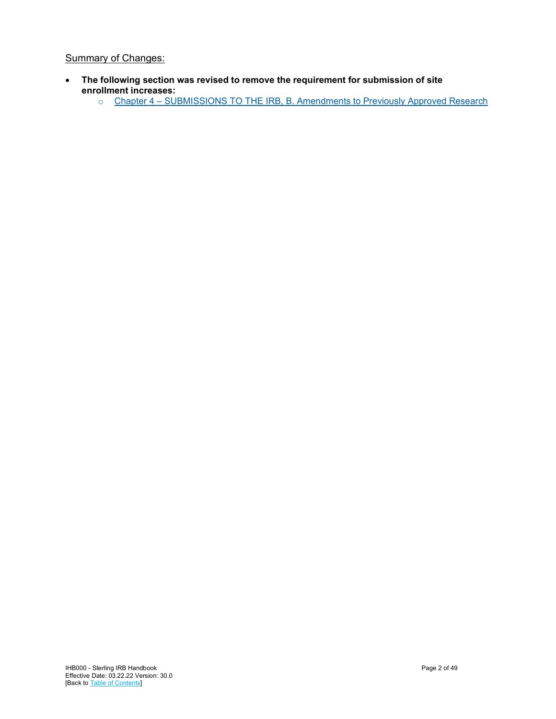## **Summary of Changes:**

- **The following section was revised to remove the requirement for submission of site enrollment increases:** 
	- o Chapter 4 [SUBMISSIONS TO THE IRB, B. Amendments to Previously Approved Research](#page-14-0)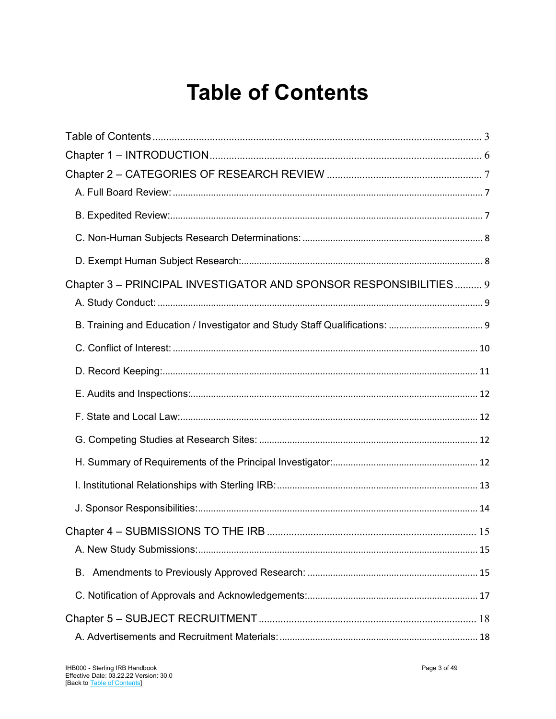## **Table of Contents**

<span id="page-2-0"></span>

| Chapter 3 - PRINCIPAL INVESTIGATOR AND SPONSOR RESPONSIBILITIES 9 |  |
|-------------------------------------------------------------------|--|
|                                                                   |  |
|                                                                   |  |
|                                                                   |  |
|                                                                   |  |
|                                                                   |  |
|                                                                   |  |
|                                                                   |  |
|                                                                   |  |
|                                                                   |  |
|                                                                   |  |
|                                                                   |  |
|                                                                   |  |
| В.                                                                |  |
|                                                                   |  |
|                                                                   |  |
|                                                                   |  |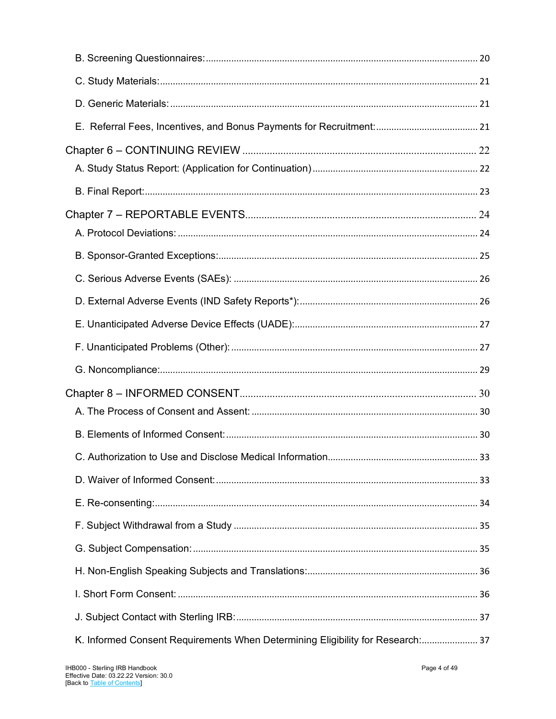| K. Informed Consent Requirements When Determining Eligibility for Research: 37 |  |
|--------------------------------------------------------------------------------|--|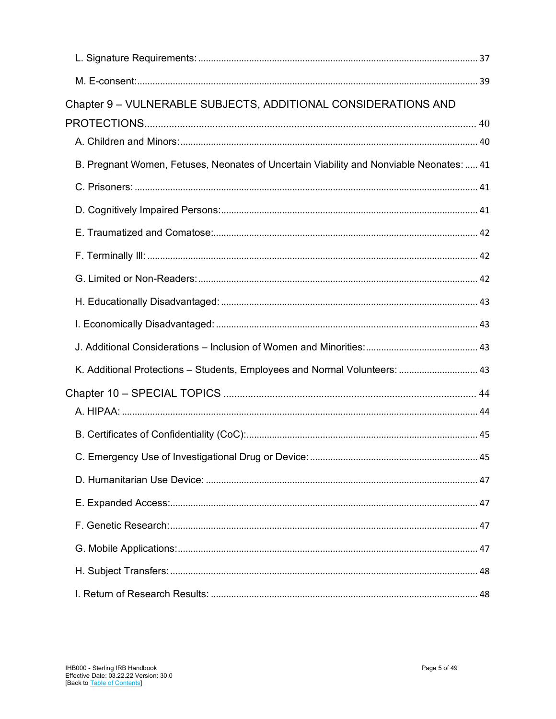| Chapter 9 - VULNERABLE SUBJECTS, ADDITIONAL CONSIDERATIONS AND                          |  |
|-----------------------------------------------------------------------------------------|--|
|                                                                                         |  |
|                                                                                         |  |
| B. Pregnant Women, Fetuses, Neonates of Uncertain Viability and Nonviable Neonates:  41 |  |
|                                                                                         |  |
|                                                                                         |  |
|                                                                                         |  |
|                                                                                         |  |
|                                                                                         |  |
|                                                                                         |  |
|                                                                                         |  |
|                                                                                         |  |
| K. Additional Protections - Students, Employees and Normal Volunteers:  43              |  |
|                                                                                         |  |
|                                                                                         |  |
|                                                                                         |  |
|                                                                                         |  |
|                                                                                         |  |
|                                                                                         |  |
|                                                                                         |  |
|                                                                                         |  |
|                                                                                         |  |
|                                                                                         |  |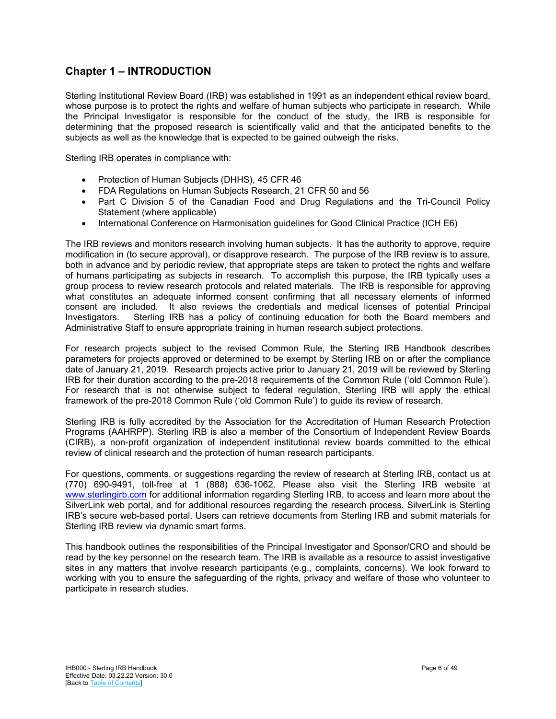## <span id="page-5-0"></span>**Chapter 1 – INTRODUCTION**

Sterling Institutional Review Board (IRB) was established in 1991 as an independent ethical review board, whose purpose is to protect the rights and welfare of human subjects who participate in research. While the Principal Investigator is responsible for the conduct of the study, the IRB is responsible for determining that the proposed research is scientifically valid and that the anticipated benefits to the subjects as well as the knowledge that is expected to be gained outweigh the risks.

Sterling IRB operates in compliance with:

- Protection of Human Subjects (DHHS), 45 CFR 46
- FDA Regulations on Human Subjects Research, 21 CFR 50 and 56
- Part C Division 5 of the Canadian Food and Drug Regulations and the Tri-Council Policy Statement (where applicable)
- International Conference on Harmonisation guidelines for Good Clinical Practice (ICH E6)

The IRB reviews and monitors research involving human subjects. It has the authority to approve, require modification in (to secure approval), or disapprove research. The purpose of the IRB review is to assure, both in advance and by periodic review, that appropriate steps are taken to protect the rights and welfare of humans participating as subjects in research. To accomplish this purpose, the IRB typically uses a group process to review research protocols and related materials. The IRB is responsible for approving what constitutes an adequate informed consent confirming that all necessary elements of informed consent are included. It also reviews the credentials and medical licenses of potential Principal Investigators. Sterling IRB has a policy of continuing education for both the Board members and Administrative Staff to ensure appropriate training in human research subject protections.

For research projects subject to the revised Common Rule, the Sterling IRB Handbook describes parameters for projects approved or determined to be exempt by Sterling IRB on or after the compliance date of January 21, 2019. Research projects active prior to January 21, 2019 will be reviewed by Sterling IRB for their duration according to the pre-2018 requirements of the Common Rule ('old Common Rule'). For research that is not otherwise subject to federal regulation, Sterling IRB will apply the ethical framework of the pre-2018 Common Rule ('old Common Rule') to guide its review of research.

Sterling IRB is fully accredited by the Association for the Accreditation of Human Research Protection Programs (AAHRPP). Sterling IRB is also a member of the Consortium of Independent Review Boards (CIRB), a non-profit organization of independent institutional review boards committed to the ethical review of clinical research and the protection of human research participants.

For questions, comments, or suggestions regarding the review of research at Sterling IRB, contact us at (770) 690-9491, toll-free at 1 (888) 636-1062. Please also visit the Sterling IRB website at [www.sterlingirb.com](http://www.sterlingirb.com/) for additional information regarding Sterling IRB, to access and learn more about the SilverLink web portal, and for additional resources regarding the research process. SilverLink is Sterling IRB's secure web-based portal. Users can retrieve documents from Sterling IRB and submit materials for Sterling IRB review via dynamic smart forms.

This handbook outlines the responsibilities of the Principal Investigator and Sponsor/CRO and should be read by the key personnel on the research team. The IRB is available as a resource to assist investigative sites in any matters that involve research participants (e.g., complaints, concerns). We look forward to working with you to ensure the safeguarding of the rights, privacy and welfare of those who volunteer to participate in research studies.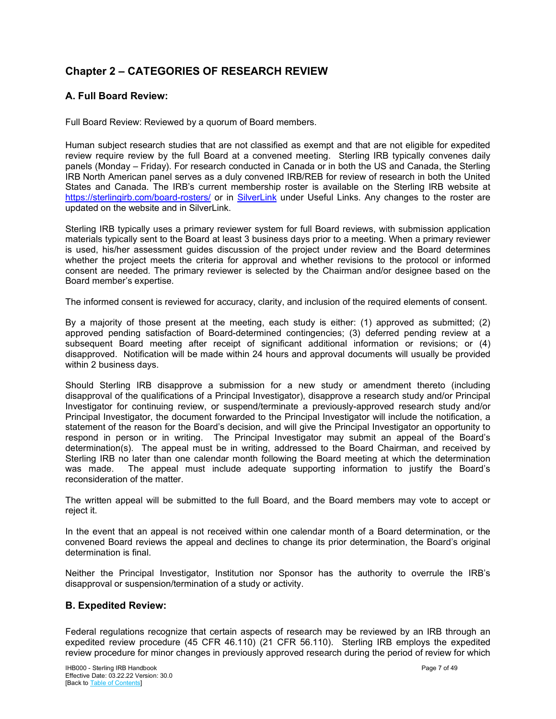## <span id="page-6-0"></span>**Chapter 2 – CATEGORIES OF RESEARCH REVIEW**

## <span id="page-6-1"></span>**A. Full Board Review:**

Full Board Review: Reviewed by a quorum of Board members.

Human subject research studies that are not classified as exempt and that are not eligible for expedited review require review by the full Board at a convened meeting. Sterling IRB typically convenes daily panels (Monday – Friday). For research conducted in Canada or in both the US and Canada, the Sterling IRB North American panel serves as a duly convened IRB/REB for review of research in both the United States and Canada. The IRB's current membership roster is available on the Sterling IRB website at <https://sterlingirb.com/board-rosters/> or in [SilverLink](https://sterlingirb.my.irbmanager.com/) under Useful Links. Any changes to the roster are updated on the website and in SilverLink.

Sterling IRB typically uses a primary reviewer system for full Board reviews, with submission application materials typically sent to the Board at least 3 business days prior to a meeting. When a primary reviewer is used, his/her assessment guides discussion of the project under review and the Board determines whether the project meets the criteria for approval and whether revisions to the protocol or informed consent are needed. The primary reviewer is selected by the Chairman and/or designee based on the Board member's expertise.

The informed consent is reviewed for accuracy, clarity, and inclusion of the required elements of consent.

By a majority of those present at the meeting, each study is either: (1) approved as submitted; (2) approved pending satisfaction of Board-determined contingencies; (3) deferred pending review at a subsequent Board meeting after receipt of significant additional information or revisions; or (4) disapproved. Notification will be made within 24 hours and approval documents will usually be provided within 2 business days.

Should Sterling IRB disapprove a submission for a new study or amendment thereto (including disapproval of the qualifications of a Principal Investigator), disapprove a research study and/or Principal Investigator for continuing review, or suspend/terminate a previously-approved research study and/or Principal Investigator, the document forwarded to the Principal Investigator will include the notification, a statement of the reason for the Board's decision, and will give the Principal Investigator an opportunity to respond in person or in writing. The Principal Investigator may submit an appeal of the Board's determination(s). The appeal must be in writing, addressed to the Board Chairman, and received by Sterling IRB no later than one calendar month following the Board meeting at which the determination was made. The appeal must include adequate supporting information to justify the Board's reconsideration of the matter.

The written appeal will be submitted to the full Board, and the Board members may vote to accept or reject it.

In the event that an appeal is not received within one calendar month of a Board determination, or the convened Board reviews the appeal and declines to change its prior determination, the Board's original determination is final.

Neither the Principal Investigator, Institution nor Sponsor has the authority to overrule the IRB's disapproval or suspension/termination of a study or activity.

## <span id="page-6-2"></span>**B. Expedited Review:**

Federal regulations recognize that certain aspects of research may be reviewed by an IRB through an expedited review procedure (45 CFR 46.110) (21 CFR 56.110). Sterling IRB employs the expedited review procedure for minor changes in previously approved research during the period of review for which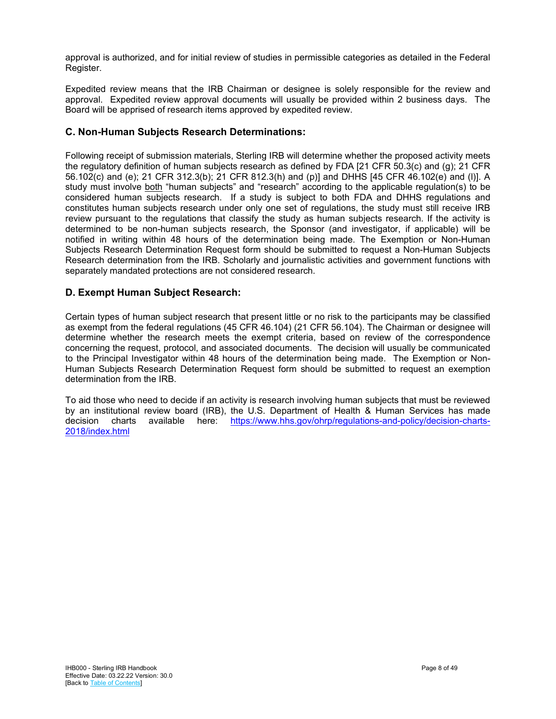approval is authorized, and for initial review of studies in permissible categories as detailed in the Federal Register.

Expedited review means that the IRB Chairman or designee is solely responsible for the review and approval. Expedited review approval documents will usually be provided within 2 business days. The Board will be apprised of research items approved by expedited review.

## <span id="page-7-0"></span>**C. Non-Human Subjects Research Determinations:**

Following receipt of submission materials, Sterling IRB will determine whether the proposed activity meets the regulatory definition of human subjects research as defined by FDA [21 CFR 50.3(c) and (g); 21 CFR 56.102(c) and (e); 21 CFR 312.3(b); 21 CFR 812.3(h) and (p)] and DHHS [45 CFR 46.102(e) and (l)]. A study must involve both "human subjects" and "research" according to the applicable regulation(s) to be considered human subjects research. If a study is subject to both FDA and DHHS regulations and constitutes human subjects research under only one set of regulations, the study must still receive IRB review pursuant to the regulations that classify the study as human subjects research. If the activity is determined to be non-human subjects research, the Sponsor (and investigator, if applicable) will be notified in writing within 48 hours of the determination being made. The Exemption or Non-Human Subjects Research Determination Request form should be submitted to request a Non-Human Subjects Research determination from the IRB. Scholarly and journalistic activities and government functions with separately mandated protections are not considered research.

## <span id="page-7-1"></span>**D. Exempt Human Subject Research:**

Certain types of human subject research that present little or no risk to the participants may be classified as exempt from the federal regulations (45 CFR 46.104) (21 CFR 56.104). The Chairman or designee will determine whether the research meets the exempt criteria, based on review of the correspondence concerning the request, protocol, and associated documents. The decision will usually be communicated to the Principal Investigator within 48 hours of the determination being made. The Exemption or Non-Human Subjects Research Determination Request form should be submitted to request an exemption determination from the IRB.

To aid those who need to decide if an activity is research involving human subjects that must be reviewed by an institutional review board (IRB), the U.S. Department of Health & Human Services has made decision charts available here: https://www.hhs.gov/ohrp/regulations-and-policy/decision-chartsdecision charts available here: [https://www.hhs.gov/ohrp/regulations-and-policy/decision-charts-](https://www.hhs.gov/ohrp/regulations-and-policy/decision-charts-2018/index.html)[2018/index.html](https://www.hhs.gov/ohrp/regulations-and-policy/decision-charts-2018/index.html)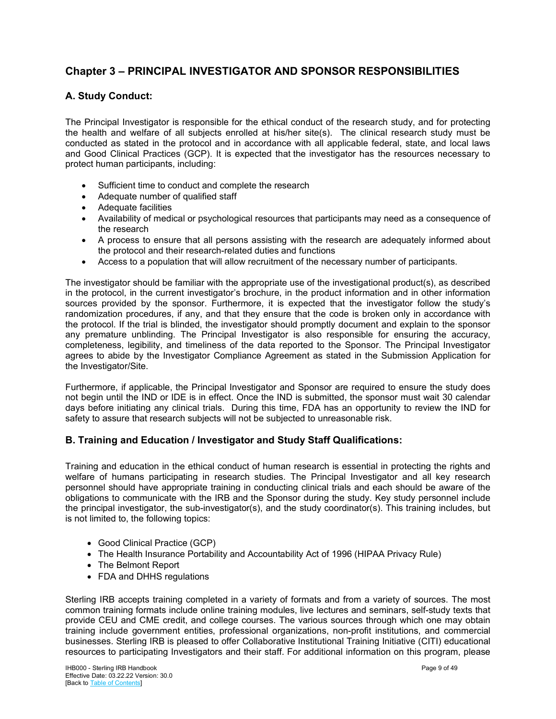## <span id="page-8-0"></span>**Chapter 3 – PRINCIPAL INVESTIGATOR AND SPONSOR RESPONSIBILITIES**

## <span id="page-8-1"></span>**A. Study Conduct:**

The Principal Investigator is responsible for the ethical conduct of the research study, and for protecting the health and welfare of all subjects enrolled at his/her site(s).The clinical research study must be conducted as stated in the protocol and in accordance with all applicable federal, state, and local laws and Good Clinical Practices (GCP). It is expected that the investigator has the resources necessary to protect human participants, including:

- Sufficient time to conduct and complete the research
- Adequate number of qualified staff
- Adequate facilities
- Availability of medical or psychological resources that participants may need as a consequence of the research
- A process to ensure that all persons assisting with the research are adequately informed about the protocol and their research-related duties and functions
- Access to a population that will allow recruitment of the necessary number of participants.

The investigator should be familiar with the appropriate use of the investigational product(s), as described in the protocol, in the current investigator's brochure, in the product information and in other information sources provided by the sponsor. Furthermore, it is expected that the investigator follow the study's randomization procedures, if any, and that they ensure that the code is broken only in accordance with the protocol. If the trial is blinded, the investigator should promptly document and explain to the sponsor any premature unblinding. The Principal Investigator is also responsible for ensuring the accuracy, completeness, legibility, and timeliness of the data reported to the Sponsor. The Principal Investigator agrees to abide by the Investigator Compliance Agreement as stated in the Submission Application for the Investigator/Site.

Furthermore, if applicable, the Principal Investigator and Sponsor are required to ensure the study does not begin until the IND or IDE is in effect. Once the IND is submitted, the sponsor must wait 30 calendar days before initiating any clinical trials. During this time, FDA has an opportunity to review the IND for safety to assure that research subjects will not be subjected to unreasonable risk.

## <span id="page-8-2"></span>**B. Training and Education / Investigator and Study Staff Qualifications:**

Training and education in the ethical conduct of human research is essential in protecting the rights and welfare of humans participating in research studies. The Principal Investigator and all key research personnel should have appropriate training in conducting clinical trials and each should be aware of the obligations to communicate with the IRB and the Sponsor during the study. Key study personnel include the principal investigator, the sub-investigator(s), and the study coordinator(s). This training includes, but is not limited to, the following topics:

- Good Clinical Practice (GCP)
- The Health Insurance Portability and Accountability Act of 1996 (HIPAA Privacy Rule)
- The Belmont Report
- FDA and DHHS regulations

Sterling IRB accepts training completed in a variety of formats and from a variety of sources. The most common training formats include online training modules, live lectures and seminars, self-study texts that provide CEU and CME credit, and college courses. The various sources through which one may obtain training include government entities, professional organizations, non-profit institutions, and commercial businesses. Sterling IRB is pleased to offer Collaborative Institutional Training Initiative (CITI) educational resources to participating Investigators and their staff. For additional information on this program, please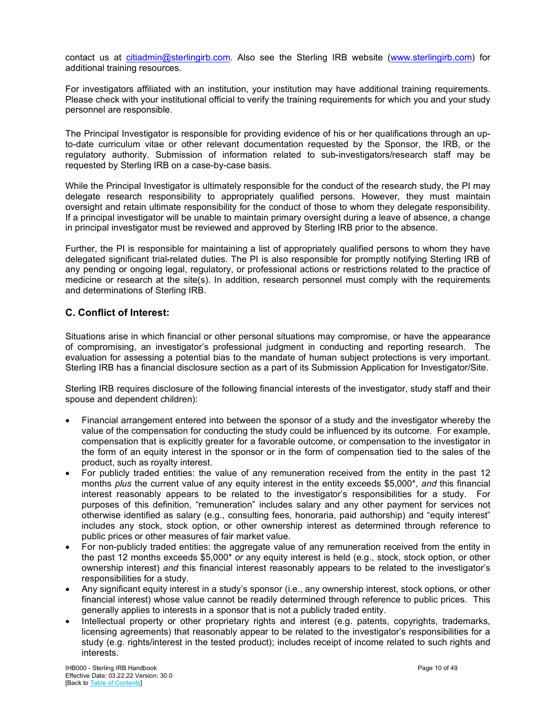contact us at [citiadmin@sterlingirb.com.](mailto:citiadmin@sterlingirb.com) Also see the Sterling IRB website [\(www.sterlingirb.com\)](http://sterlingirb.com/) for additional training resources.

For investigators affiliated with an institution, your institution may have additional training requirements. Please check with your institutional official to verify the training requirements for which you and your study personnel are responsible.

The Principal Investigator is responsible for providing evidence of his or her qualifications through an upto-date curriculum vitae or other relevant documentation requested by the Sponsor, the IRB, or the regulatory authority. Submission of information related to sub-investigators/research staff may be requested by Sterling IRB on a case-by-case basis.

While the Principal Investigator is ultimately responsible for the conduct of the research study, the PI may delegate research responsibility to appropriately qualified persons. However, they must maintain oversight and retain ultimate responsibility for the conduct of those to whom they delegate responsibility. If a principal investigator will be unable to maintain primary oversight during a leave of absence, a change in principal investigator must be reviewed and approved by Sterling IRB prior to the absence.

Further, the PI is responsible for maintaining a list of appropriately qualified persons to whom they have delegated significant trial-related duties. The PI is also responsible for promptly notifying Sterling IRB of any pending or ongoing legal, regulatory, or professional actions or restrictions related to the practice of medicine or research at the site(s). In addition, research personnel must comply with the requirements and determinations of Sterling IRB.

## <span id="page-9-0"></span>**C. Conflict of Interest:**

Situations arise in which financial or other personal situations may compromise, or have the appearance of compromising, an investigator's professional judgment in conducting and reporting research. The evaluation for assessing a potential bias to the mandate of human subject protections is very important. Sterling IRB has a financial disclosure section as a part of its Submission Application for Investigator/Site.

Sterling IRB requires disclosure of the following financial interests of the investigator, study staff and their spouse and dependent children):

- Financial arrangement entered into between the sponsor of a study and the investigator whereby the value of the compensation for conducting the study could be influenced by its outcome. For example, compensation that is explicitly greater for a favorable outcome, or compensation to the investigator in the form of an equity interest in the sponsor or in the form of compensation tied to the sales of the product, such as royalty interest.
- For publicly traded entities: the value of any remuneration received from the entity in the past 12 months *plus* the current value of any equity interest in the entity exceeds \$5,000\*, *and* this financial interest reasonably appears to be related to the investigator's responsibilities for a study. For purposes of this definition, "remuneration" includes salary and any other payment for services not otherwise identified as salary (e.g., consulting fees, honoraria, paid authorship) and "equity interest" includes any stock, stock option, or other ownership interest as determined through reference to public prices or other measures of fair market value.
- For non-publicly traded entities: the aggregate value of any remuneration received from the entity in the past 12 months exceeds \$5,000\* *or* any equity interest is held (e.g., stock, stock option, or other ownership interest) *and* this financial interest reasonably appears to be related to the investigator's responsibilities for a study.
- Any significant equity interest in a study's sponsor (i.e., any ownership interest, stock options, or other financial interest) whose value cannot be readily determined through reference to public prices. This generally applies to interests in a sponsor that is not a publicly traded entity.
- Intellectual property or other proprietary rights and interest (e.g. patents, copyrights, trademarks, licensing agreements) that reasonably appear to be related to the investigator's responsibilities for a study (e.g. rights/interest in the tested product); includes receipt of income related to such rights and interests.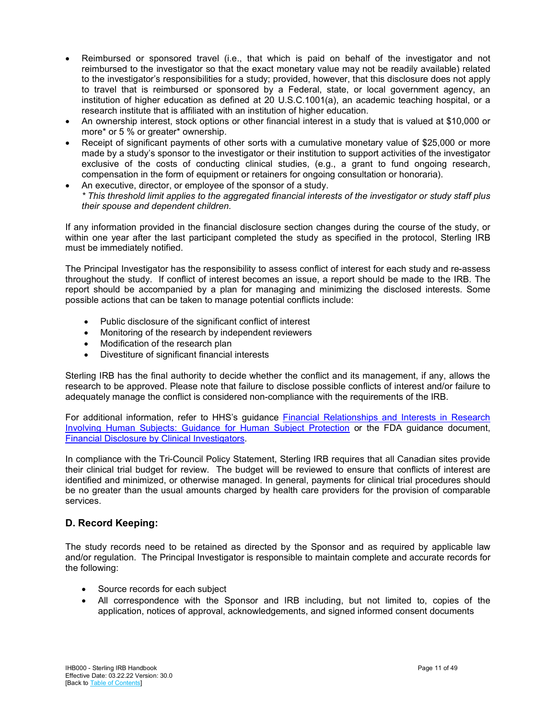- Reimbursed or sponsored travel (i.e., that which is paid on behalf of the investigator and not reimbursed to the investigator so that the exact monetary value may not be readily available) related to the investigator's responsibilities for a study; provided, however, that this disclosure does not apply to travel that is reimbursed or sponsored by a Federal, state, or local government agency, an institution of higher education as defined at 20 U.S.C.1001(a), an academic teaching hospital, or a research institute that is affiliated with an institution of higher education.
- An ownership interest, stock options or other financial interest in a study that is valued at \$10,000 or more\* or 5 % or greater\* ownership.
- Receipt of significant payments of other sorts with a cumulative monetary value of \$25,000 or more made by a study's sponsor to the investigator or their institution to support activities of the investigator exclusive of the costs of conducting clinical studies, (e.g., a grant to fund ongoing research, compensation in the form of equipment or retainers for ongoing consultation or honoraria).
- An executive, director, or employee of the sponsor of a study. *\* This threshold limit applies to the aggregated financial interests of the investigator or study staff plus their spouse and dependent children.*

If any information provided in the financial disclosure section changes during the course of the study, or within one year after the last participant completed the study as specified in the protocol, Sterling IRB must be immediately notified.

The Principal Investigator has the responsibility to assess conflict of interest for each study and re-assess throughout the study. If conflict of interest becomes an issue, a report should be made to the IRB. The report should be accompanied by a plan for managing and minimizing the disclosed interests. Some possible actions that can be taken to manage potential conflicts include:

- Public disclosure of the significant conflict of interest
- Monitoring of the research by independent reviewers
- Modification of the research plan
- Divestiture of significant financial interests

Sterling IRB has the final authority to decide whether the conflict and its management, if any, allows the research to be approved. Please note that failure to disclose possible conflicts of interest and/or failure to adequately manage the conflict is considered non-compliance with the requirements of the IRB.

For additional information, refer to HHS's guidance **Financial Relationships and Interests in Research** Involving [Human Subjects: Guidance for Human Subject Protection](https://www.hhs.gov/ohrp/regulations-and-policy/guidance/financial-conflict-of-interest/index.html) or the FDA guidance document, Financial [Disclosure by Clinical Investigators.](https://www.fda.gov/media/85293/download)

In compliance with the Tri-Council Policy Statement, Sterling IRB requires that all Canadian sites provide their clinical trial budget for review. The budget will be reviewed to ensure that conflicts of interest are identified and minimized, or otherwise managed. In general, payments for clinical trial procedures should be no greater than the usual amounts charged by health care providers for the provision of comparable services.

## <span id="page-10-0"></span>**D. Record Keeping:**

The study records need to be retained as directed by the Sponsor and as required by applicable law and/or regulation. The Principal Investigator is responsible to maintain complete and accurate records for the following:

- Source records for each subject
- All correspondence with the Sponsor and IRB including, but not limited to, copies of the application, notices of approval, acknowledgements, and signed informed consent documents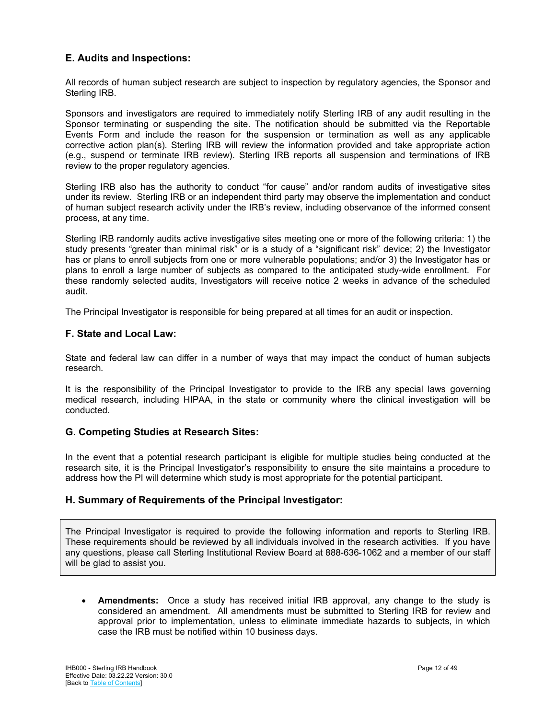## <span id="page-11-0"></span>**E. Audits and Inspections:**

All records of human subject research are subject to inspection by regulatory agencies, the Sponsor and Sterling IRB.

Sponsors and investigators are required to immediately notify Sterling IRB of any audit resulting in the Sponsor terminating or suspending the site. The notification should be submitted via the Reportable Events Form and include the reason for the suspension or termination as well as any applicable corrective action plan(s). Sterling IRB will review the information provided and take appropriate action (e.g., suspend or terminate IRB review). Sterling IRB reports all suspension and terminations of IRB review to the proper regulatory agencies.

Sterling IRB also has the authority to conduct "for cause" and/or random audits of investigative sites under its review. Sterling IRB or an independent third party may observe the implementation and conduct of human subject research activity under the IRB's review, including observance of the informed consent process, at any time.

Sterling IRB randomly audits active investigative sites meeting one or more of the following criteria: 1) the study presents "greater than minimal risk" or is a study of a "significant risk" device; 2) the Investigator has or plans to enroll subjects from one or more vulnerable populations; and/or 3) the Investigator has or plans to enroll a large number of subjects as compared to the anticipated study-wide enrollment. For these randomly selected audits, Investigators will receive notice 2 weeks in advance of the scheduled audit.

<span id="page-11-1"></span>The Principal Investigator is responsible for being prepared at all times for an audit or inspection.

#### **F. State and Local Law:**

State and federal law can differ in a number of ways that may impact the conduct of human subjects research.

It is the responsibility of the Principal Investigator to provide to the IRB any special laws governing medical research, including HIPAA, in the state or community where the clinical investigation will be conducted.

## <span id="page-11-2"></span>**G. Competing Studies at Research Sites:**

In the event that a potential research participant is eligible for multiple studies being conducted at the research site, it is the Principal Investigator's responsibility to ensure the site maintains a procedure to address how the PI will determine which study is most appropriate for the potential participant.

## <span id="page-11-3"></span>**H. Summary of Requirements of the Principal Investigator:**

The Principal Investigator is required to provide the following information and reports to Sterling IRB. These requirements should be reviewed by all individuals involved in the research activities. If you have any questions, please call Sterling Institutional Review Board at 888-636-1062 and a member of our staff will be glad to assist you.

• **Amendments:** Once a study has received initial IRB approval, any change to the study is considered an amendment. All amendments must be submitted to Sterling IRB for review and approval prior to implementation, unless to eliminate immediate hazards to subjects, in which case the IRB must be notified within 10 business days.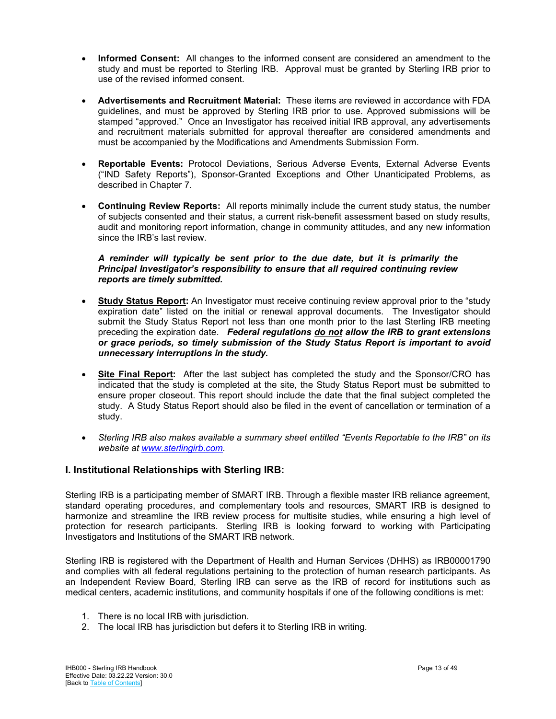- **Informed Consent:** All changes to the informed consent are considered an amendment to the study and must be reported to Sterling IRB. Approval must be granted by Sterling IRB prior to use of the revised informed consent.
- **Advertisements and Recruitment Material:** These items are reviewed in accordance with FDA guidelines, and must be approved by Sterling IRB prior to use. Approved submissions will be stamped "approved." Once an Investigator has received initial IRB approval, any advertisements and recruitment materials submitted for approval thereafter are considered amendments and must be accompanied by the Modifications and Amendments Submission Form.
- **Reportable Events:** Protocol Deviations, Serious Adverse Events, External Adverse Events ("IND Safety Reports"), Sponsor-Granted Exceptions and Other Unanticipated Problems, as described in Chapter 7.
- **Continuing Review Reports:** All reports minimally include the current study status, the number of subjects consented and their status, a current risk-benefit assessment based on study results, audit and monitoring report information, change in community attitudes, and any new information since the IRB's last review.

#### *A reminder will typically be sent prior to the due date, but it is primarily the Principal Investigator's responsibility to ensure that all required continuing review reports are timely submitted.*

- **Study Status Report:** An Investigator must receive continuing review approval prior to the "study expiration date" listed on the initial or renewal approval documents. The Investigator should submit the Study Status Report not less than one month prior to the last Sterling IRB meeting preceding the expiration date. *Federal regulations do not allow the IRB to grant extensions or grace periods, so timely submission of the Study Status Report is important to avoid unnecessary interruptions in the study.*
- **Site Final Report:** After the last subject has completed the study and the Sponsor/CRO has indicated that the study is completed at the site, the Study Status Report must be submitted to ensure proper closeout. This report should include the date that the final subject completed the study. A Study Status Report should also be filed in the event of cancellation or termination of a study.
- *Sterling IRB also makes available a summary sheet entitled "Events Reportable to the IRB" on its website at [www.sterlingirb.com.](http://www.sterlingirb.com/)*

## <span id="page-12-0"></span>**I. Institutional Relationships with Sterling IRB:**

Sterling IRB is a participating member of SMART IRB. Through a flexible master IRB reliance agreement, standard operating procedures, and complementary tools and resources, SMART IRB is designed to harmonize and streamline the IRB review process for multisite studies, while ensuring a high level of protection for research participants. Sterling IRB is looking forward to working with Participating Investigators and Institutions of the SMART IRB network.

Sterling IRB is registered with the Department of Health and Human Services (DHHS) as IRB00001790 and complies with all federal regulations pertaining to the protection of human research participants. As an Independent Review Board, Sterling IRB can serve as the IRB of record for institutions such as medical centers, academic institutions, and community hospitals if one of the following conditions is met:

- 1. There is no local IRB with jurisdiction.
- 2. The local IRB has jurisdiction but defers it to Sterling IRB in writing.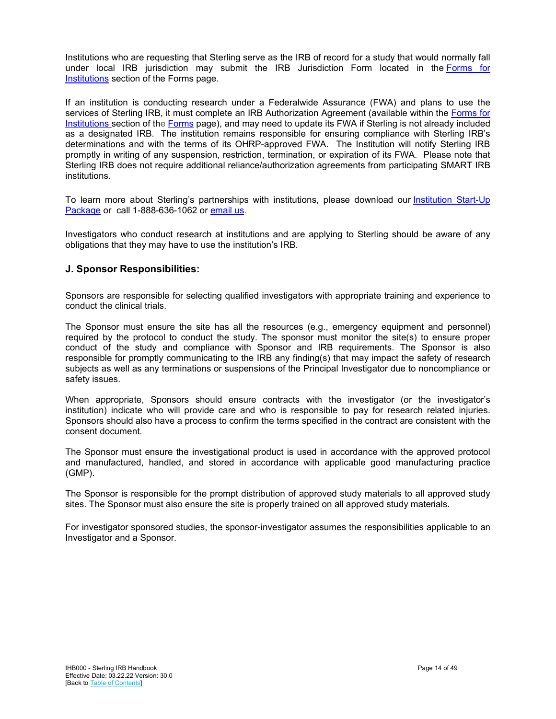Institutions who are requesting that Sterling serve as the IRB of record for a study that would normally fall under local IRB jurisdiction may submit the IRB Jurisdiction Form located in the [Forms](https://sterlingirb.com/download-forms/) for [Institutions](https://sterlingirb.com/download-forms/) section of the Forms page.

If an institution is conducting research under a Federalwide Assurance (FWA) and plans to use the services of Sterling IRB, it must complete an IRB Authorization Agreement (available within the [Forms for](https://sterlingirb.com/download-forms/)  [Institutions](https://sterlingirb.com/download-forms/) section of the [Forms](https://sterlingirb.com/download-forms/) page), and may need to update its FWA if Sterling is not already included as a designated IRB. The institution remains responsible for ensuring compliance with Sterling IRB's determinations and with the terms of its OHRP-approved FWA. The Institution will notify Sterling IRB promptly in writing of any suspension, restriction, termination, or expiration of its FWA. Please note that Sterling IRB does not require additional reliance/authorization agreements from participating SMART IRB institutions.

To learn more about Sterling's partnerships with institutions, please download our [Institution](https://sterlingirb.com/wp-content/uploads/2019/10/Sterling-IRB-Institution-Start-Up-Package.pdf) Start-Up [Package](https://sterlingirb.com/wp-content/uploads/2019/10/Sterling-IRB-Institution-Start-Up-Package.pdf) or call 1-888-636-1062 or [email us.](mailto:info@sterlingirb.com?subject=Query%20from%20Website%20RE:%20Institutions%20Overview%20of%20Services%20with%20Institutions)

Investigators who conduct research at institutions and are applying to Sterling should be aware of any obligations that they may have to use the institution's IRB.

## <span id="page-13-0"></span>**J. Sponsor Responsibilities:**

Sponsors are responsible for selecting qualified investigators with appropriate training and experience to conduct the clinical trials.

The Sponsor must ensure the site has all the resources (e.g., emergency equipment and personnel) required by the protocol to conduct the study. The sponsor must monitor the site(s) to ensure proper conduct of the study and compliance with Sponsor and IRB requirements. The Sponsor is also responsible for promptly communicating to the IRB any finding(s) that may impact the safety of research subjects as well as any terminations or suspensions of the Principal Investigator due to noncompliance or safety issues.

When appropriate, Sponsors should ensure contracts with the investigator (or the investigator's institution) indicate who will provide care and who is responsible to pay for research related injuries. Sponsors should also have a process to confirm the terms specified in the contract are consistent with the consent document.

The Sponsor must ensure the investigational product is used in accordance with the approved protocol and manufactured, handled, and stored in accordance with applicable good manufacturing practice (GMP).

The Sponsor is responsible for the prompt distribution of approved study materials to all approved study sites. The Sponsor must also ensure the site is properly trained on all approved study materials.

For investigator sponsored studies, the sponsor-investigator assumes the responsibilities applicable to an Investigator and a Sponsor.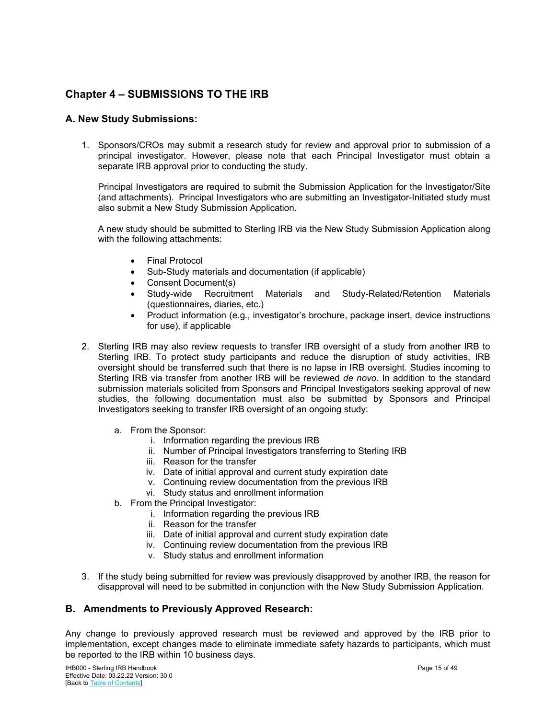## <span id="page-14-1"></span>**Chapter 4 – SUBMISSIONS TO THE IRB**

## <span id="page-14-2"></span>**A. New Study Submissions:**

1. Sponsors/CROs may submit a research study for review and approval prior to submission of a principal investigator. However, please note that each Principal Investigator must obtain a separate IRB approval prior to conducting the study.

Principal Investigators are required to submit the Submission Application for the Investigator/Site (and attachments). Principal Investigators who are submitting an Investigator-Initiated study must also submit a New Study Submission Application.

A new study should be submitted to Sterling IRB via the New Study Submission Application along with the following attachments:

- **Final Protocol**
- Sub-Study materials and documentation (if applicable)
- Consent Document(s)
- Study-wide Recruitment Materials and Study-Related/Retention Materials (questionnaires, diaries, etc.)
- Product information (e.g., investigator's brochure, package insert, device instructions for use), if applicable
- 2. Sterling IRB may also review requests to transfer IRB oversight of a study from another IRB to Sterling IRB. To protect study participants and reduce the disruption of study activities, IRB oversight should be transferred such that there is no lapse in IRB oversight. Studies incoming to Sterling IRB via transfer from another IRB will be reviewed *de novo.* In addition to the standard submission materials solicited from Sponsors and Principal Investigators seeking approval of new studies, the following documentation must also be submitted by Sponsors and Principal Investigators seeking to transfer IRB oversight of an ongoing study:
	- a. From the Sponsor:
		- i. Information regarding the previous IRB
		- ii. Number of Principal Investigators transferring to Sterling IRB
		- iii. Reason for the transfer
		- iv. Date of initial approval and current study expiration date
		- v. Continuing review documentation from the previous IRB
		- vi. Study status and enrollment information
	- b. From the Principal Investigator:
		- i. Information regarding the previous IRB
		- ii. Reason for the transfer
		- iii. Date of initial approval and current study expiration date
		- iv. Continuing review documentation from the previous IRB
		- v. Study status and enrollment information
- 3. If the study being submitted for review was previously disapproved by another IRB, the reason for disapproval will need to be submitted in conjunction with the New Study Submission Application.

## <span id="page-14-0"></span>**B. Amendments to Previously Approved Research:**

Any change to previously approved research must be reviewed and approved by the IRB prior to implementation, except changes made to eliminate immediate safety hazards to participants, which must be reported to the IRB within 10 business days.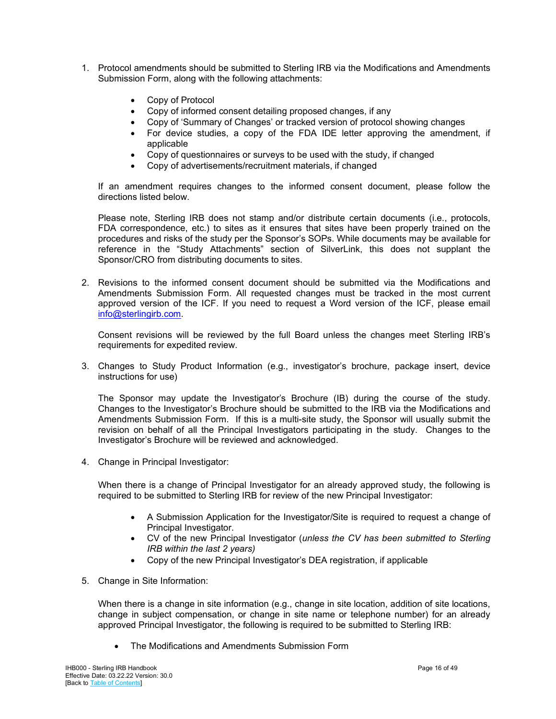- 1. Protocol amendments should be submitted to Sterling IRB via the Modifications and Amendments Submission Form, along with the following attachments:
	- Copy of Protocol
	- Copy of informed consent detailing proposed changes, if any
	- Copy of 'Summary of Changes' or tracked version of protocol showing changes
	- For device studies, a copy of the FDA IDE letter approving the amendment, if applicable
	- Copy of questionnaires or surveys to be used with the study, if changed
	- Copy of advertisements/recruitment materials, if changed

If an amendment requires changes to the informed consent document, please follow the directions listed below.

Please note, Sterling IRB does not stamp and/or distribute certain documents (i.e., protocols, FDA correspondence, etc.) to sites as it ensures that sites have been properly trained on the procedures and risks of the study per the Sponsor's SOPs. While documents may be available for reference in the "Study Attachments" section of SilverLink, this does not supplant the Sponsor/CRO from distributing documents to sites.

2. Revisions to the informed consent document should be submitted via the Modifications and Amendments Submission Form. All requested changes must be tracked in the most current approved version of the ICF. If you need to request a Word version of the ICF, please email [info@sterlingirb.com.](mailto:info@sterlingirb.com)

Consent revisions will be reviewed by the full Board unless the changes meet Sterling IRB's requirements for expedited review.

3. Changes to Study Product Information (e.g., investigator's brochure, package insert, device instructions for use)

The Sponsor may update the Investigator's Brochure (IB) during the course of the study. Changes to the Investigator's Brochure should be submitted to the IRB via the Modifications and Amendments Submission Form. If this is a multi-site study, the Sponsor will usually submit the revision on behalf of all the Principal Investigators participating in the study. Changes to the Investigator's Brochure will be reviewed and acknowledged.

4. Change in Principal Investigator:

When there is a change of Principal Investigator for an already approved study, the following is required to be submitted to Sterling IRB for review of the new Principal Investigator:

- A Submission Application for the Investigator/Site is required to request a change of Principal Investigator.
- CV of the new Principal Investigator (*unless the CV has been submitted to Sterling IRB within the last 2 years)*
- Copy of the new Principal Investigator's DEA registration, if applicable
- 5. Change in Site Information:

When there is a change in site information (e.g., change in site location, addition of site locations, change in subject compensation, or change in site name or telephone number) for an already approved Principal Investigator, the following is required to be submitted to Sterling IRB:

• The Modifications and Amendments Submission Form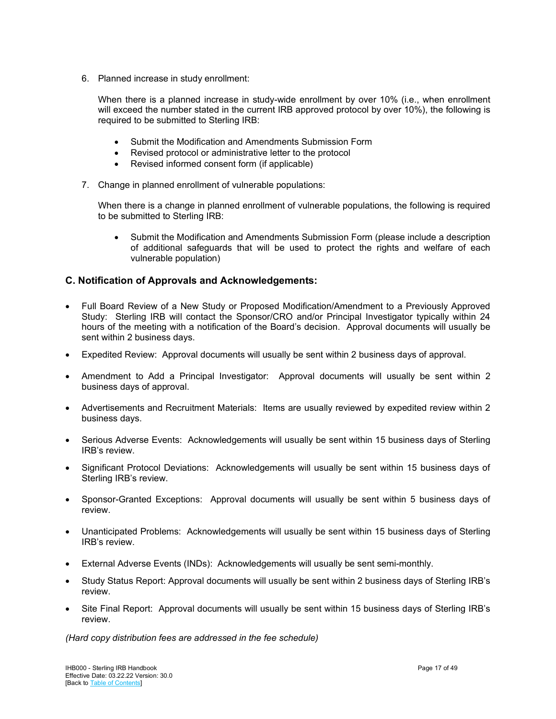6. Planned increase in study enrollment:

When there is a planned increase in study-wide enrollment by over 10% (i.e., when enrollment will exceed the number stated in the current IRB approved protocol by over 10%), the following is required to be submitted to Sterling IRB:

- Submit the Modification and Amendments Submission Form
- Revised protocol or administrative letter to the protocol
- Revised informed consent form (if applicable)
- 7. Change in planned enrollment of vulnerable populations:

When there is a change in planned enrollment of vulnerable populations, the following is required to be submitted to Sterling IRB:

• Submit the Modification and Amendments Submission Form (please include a description of additional safeguards that will be used to protect the rights and welfare of each vulnerable population)

## <span id="page-16-0"></span>**C. Notification of Approvals and Acknowledgements:**

- Full Board Review of a New Study or Proposed Modification/Amendment to a Previously Approved Study: Sterling IRB will contact the Sponsor/CRO and/or Principal Investigator typically within 24 hours of the meeting with a notification of the Board's decision. Approval documents will usually be sent within 2 business days.
- Expedited Review: Approval documents will usually be sent within 2 business days of approval.
- Amendment to Add a Principal Investigator: Approval documents will usually be sent within 2 business days of approval.
- Advertisements and Recruitment Materials: Items are usually reviewed by expedited review within 2 business days.
- Serious Adverse Events: Acknowledgements will usually be sent within 15 business days of Sterling IRB's review.
- Significant Protocol Deviations: Acknowledgements will usually be sent within 15 business days of Sterling IRB's review.
- Sponsor-Granted Exceptions: Approval documents will usually be sent within 5 business days of review.
- Unanticipated Problems: Acknowledgements will usually be sent within 15 business days of Sterling IRB's review.
- External Adverse Events (INDs): Acknowledgements will usually be sent semi-monthly.
- Study Status Report: Approval documents will usually be sent within 2 business days of Sterling IRB's review.
- Site Final Report: Approval documents will usually be sent within 15 business days of Sterling IRB's review.

*(Hard copy distribution fees are addressed in the fee schedule)*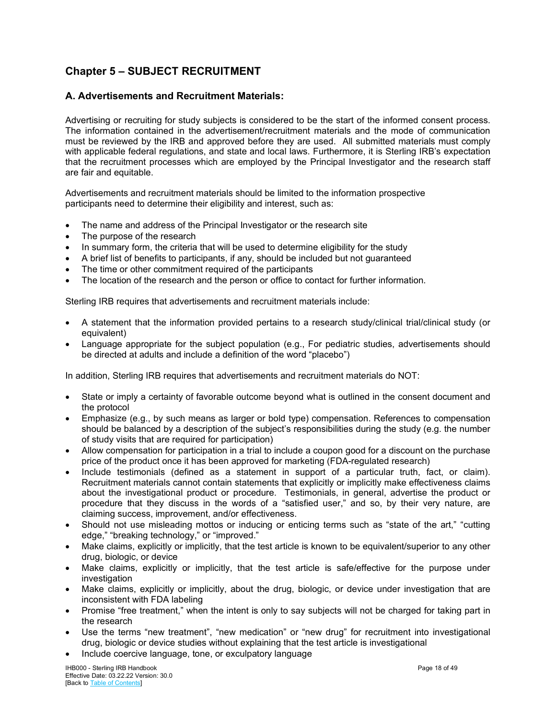## <span id="page-17-0"></span>**Chapter 5 – SUBJECT RECRUITMENT**

## <span id="page-17-1"></span>**A. Advertisements and Recruitment Materials:**

Advertising or recruiting for study subjects is considered to be the start of the informed consent process. The information contained in the advertisement/recruitment materials and the mode of communication must be reviewed by the IRB and approved before they are used. All submitted materials must comply with applicable federal regulations, and state and local laws. Furthermore, it is Sterling IRB's expectation that the recruitment processes which are employed by the Principal Investigator and the research staff are fair and equitable.

Advertisements and recruitment materials should be limited to the information prospective participants need to determine their eligibility and interest, such as:

- The name and address of the Principal Investigator or the research site
- The purpose of the research
- In summary form, the criteria that will be used to determine eligibility for the study
- A brief list of benefits to participants, if any, should be included but not guaranteed
- The time or other commitment required of the participants
- The location of the research and the person or office to contact for further information.

Sterling IRB requires that advertisements and recruitment materials include:

- A statement that the information provided pertains to a research study/clinical trial/clinical study (or equivalent)
- Language appropriate for the subject population (e.g., For pediatric studies, advertisements should be directed at adults and include a definition of the word "placebo")

In addition, Sterling IRB requires that advertisements and recruitment materials do NOT:

- State or imply a certainty of favorable outcome beyond what is outlined in the consent document and the protocol
- Emphasize (e.g., by such means as larger or bold type) compensation. References to compensation should be balanced by a description of the subject's responsibilities during the study (e.g. the number of study visits that are required for participation)
- Allow compensation for participation in a trial to include a coupon good for a discount on the purchase price of the product once it has been approved for marketing (FDA-regulated research)
- Include testimonials (defined as a statement in support of a particular truth, fact, or claim). Recruitment materials cannot contain statements that explicitly or implicitly make effectiveness claims about the investigational product or procedure. Testimonials, in general, advertise the product or procedure that they discuss in the words of a "satisfied user," and so, by their very nature, are claiming success, improvement, and/or effectiveness.
- Should not use misleading mottos or inducing or enticing terms such as "state of the art," "cutting edge," "breaking technology," or "improved."
- Make claims, explicitly or implicitly, that the test article is known to be equivalent/superior to any other drug, biologic, or device
- Make claims, explicitly or implicitly, that the test article is safe/effective for the purpose under investigation
- Make claims, explicitly or implicitly, about the drug, biologic, or device under investigation that are inconsistent with FDA labeling
- Promise "free treatment," when the intent is only to say subjects will not be charged for taking part in the research
- Use the terms "new treatment", "new medication" or "new drug" for recruitment into investigational drug, biologic or device studies without explaining that the test article is investigational
- Include coercive language, tone, or exculpatory language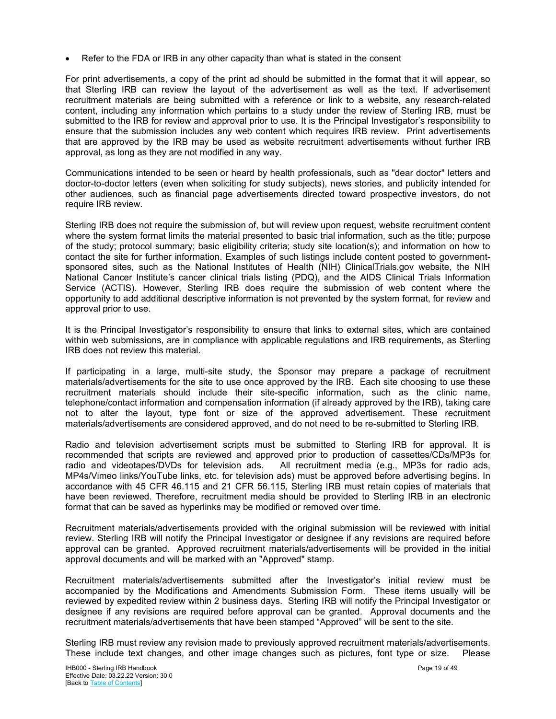• Refer to the FDA or IRB in any other capacity than what is stated in the consent

For print advertisements, a copy of the print ad should be submitted in the format that it will appear, so that Sterling IRB can review the layout of the advertisement as well as the text. If advertisement recruitment materials are being submitted with a reference or link to a website, any research-related content, including any information which pertains to a study under the review of Sterling IRB, must be submitted to the IRB for review and approval prior to use. It is the Principal Investigator's responsibility to ensure that the submission includes any web content which requires IRB review. Print advertisements that are approved by the IRB may be used as website recruitment advertisements without further IRB approval, as long as they are not modified in any way.

Communications intended to be seen or heard by health professionals, such as "dear doctor" letters and doctor-to-doctor letters (even when soliciting for study subjects), news stories, and publicity intended for other audiences, such as financial page advertisements directed toward prospective investors, do not require IRB review.

Sterling IRB does not require the submission of, but will review upon request, website recruitment content where the system format limits the material presented to basic trial information, such as the title; purpose of the study; protocol summary; basic eligibility criteria; study site location(s); and information on how to contact the site for further information. Examples of such listings include content posted to governmentsponsored sites, such as the National Institutes of Health (NIH) ClinicalTrials.gov website, the NIH National Cancer Institute's cancer clinical trials listing (PDQ), and the AIDS Clinical Trials Information Service (ACTIS). However, Sterling IRB does require the submission of web content where the opportunity to add additional descriptive information is not prevented by the system format, for review and approval prior to use.

It is the Principal Investigator's responsibility to ensure that links to external sites, which are contained within web submissions, are in compliance with applicable regulations and IRB requirements, as Sterling IRB does not review this material.

If participating in a large, multi-site study, the Sponsor may prepare a package of recruitment materials/advertisements for the site to use once approved by the IRB. Each site choosing to use these recruitment materials should include their site-specific information, such as the clinic name, telephone/contact information and compensation information (if already approved by the IRB), taking care not to alter the layout, type font or size of the approved advertisement. These recruitment materials/advertisements are considered approved, and do not need to be re-submitted to Sterling IRB.

Radio and television advertisement scripts must be submitted to Sterling IRB for approval. It is recommended that scripts are reviewed and approved prior to production of cassettes/CDs/MP3s for radio and videotapes/DVDs for television ads. All recruitment media (e.g., MP3s for radio ads, MP4s/Vimeo links/YouTube links, etc. for television ads) must be approved before advertising begins. In accordance with 45 CFR 46.115 and 21 CFR 56.115, Sterling IRB must retain copies of materials that have been reviewed. Therefore, recruitment media should be provided to Sterling IRB in an electronic format that can be saved as hyperlinks may be modified or removed over time.

Recruitment materials/advertisements provided with the original submission will be reviewed with initial review. Sterling IRB will notify the Principal Investigator or designee if any revisions are required before approval can be granted. Approved recruitment materials/advertisements will be provided in the initial approval documents and will be marked with an "Approved" stamp.

Recruitment materials/advertisements submitted after the Investigator's initial review must be accompanied by the Modifications and Amendments Submission Form. These items usually will be reviewed by expedited review within 2 business days. Sterling IRB will notify the Principal Investigator or designee if any revisions are required before approval can be granted. Approval documents and the recruitment materials/advertisements that have been stamped "Approved" will be sent to the site.

Sterling IRB must review any revision made to previously approved recruitment materials/advertisements. These include text changes, and other image changes such as pictures, font type or size. Please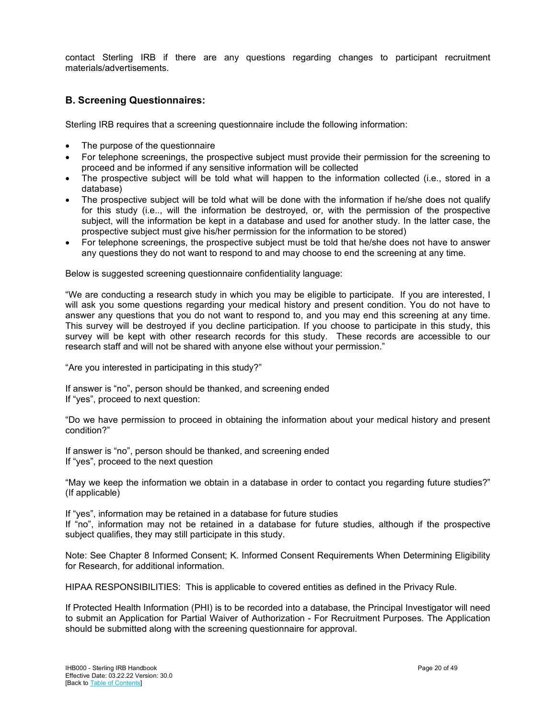contact Sterling IRB if there are any questions regarding changes to participant recruitment materials/advertisements.

## <span id="page-19-0"></span>**B. Screening Questionnaires:**

Sterling IRB requires that a screening questionnaire include the following information:

- The purpose of the questionnaire
- For telephone screenings, the prospective subject must provide their permission for the screening to proceed and be informed if any sensitive information will be collected
- The prospective subject will be told what will happen to the information collected (i.e., stored in a database)
- The prospective subject will be told what will be done with the information if he/she does not qualify for this study (i.e.., will the information be destroyed, or, with the permission of the prospective subject, will the information be kept in a database and used for another study. In the latter case, the prospective subject must give his/her permission for the information to be stored)
- For telephone screenings, the prospective subject must be told that he/she does not have to answer any questions they do not want to respond to and may choose to end the screening at any time.

Below is suggested screening questionnaire confidentiality language:

"We are conducting a research study in which you may be eligible to participate. If you are interested, I will ask you some questions regarding your medical history and present condition. You do not have to answer any questions that you do not want to respond to, and you may end this screening at any time. This survey will be destroyed if you decline participation. If you choose to participate in this study, this survey will be kept with other research records for this study. These records are accessible to our research staff and will not be shared with anyone else without your permission."

"Are you interested in participating in this study?"

If answer is "no", person should be thanked, and screening ended If "yes", proceed to next question:

"Do we have permission to proceed in obtaining the information about your medical history and present condition?"

If answer is "no", person should be thanked, and screening ended If "yes", proceed to the next question

"May we keep the information we obtain in a database in order to contact you regarding future studies?" (If applicable)

If "yes", information may be retained in a database for future studies If "no", information may not be retained in a database for future studies, although if the prospective subject qualifies, they may still participate in this study.

Note: See Chapter 8 Informed Consent; K. Informed Consent Requirements When Determining Eligibility for Research, for additional information.

HIPAA RESPONSIBILITIES: This is applicable to covered entities as defined in the Privacy Rule.

If Protected Health Information (PHI) is to be recorded into a database, the Principal Investigator will need to submit an Application for Partial Waiver of Authorization - For Recruitment Purposes. The Application should be submitted along with the screening questionnaire for approval.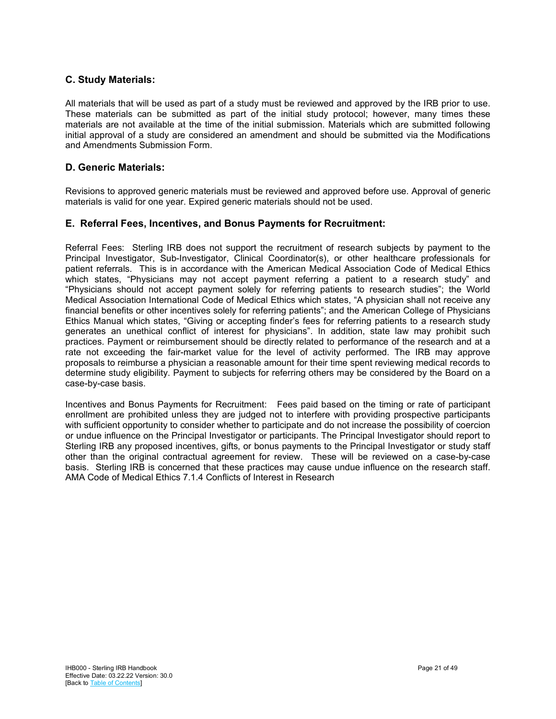## <span id="page-20-0"></span>**C. Study Materials:**

All materials that will be used as part of a study must be reviewed and approved by the IRB prior to use. These materials can be submitted as part of the initial study protocol; however, many times these materials are not available at the time of the initial submission. Materials which are submitted following initial approval of a study are considered an amendment and should be submitted via the Modifications and Amendments Submission Form.

## <span id="page-20-1"></span>**D. Generic Materials:**

Revisions to approved generic materials must be reviewed and approved before use. Approval of generic materials is valid for one year. Expired generic materials should not be used.

## <span id="page-20-2"></span>**E. Referral Fees, Incentives, and Bonus Payments for Recruitment:**

Referral Fees: Sterling IRB does not support the recruitment of research subjects by payment to the Principal Investigator, Sub-Investigator, Clinical Coordinator(s), or other healthcare professionals for patient referrals. This is in accordance with the American Medical Association Code of Medical Ethics which states, "Physicians may not accept payment referring a patient to a research study" and "Physicians should not accept payment solely for referring patients to research studies"; the World Medical Association International Code of Medical Ethics which states, "A physician shall not receive any financial benefits or other incentives solely for referring patients"; and the American College of Physicians Ethics Manual which states, "Giving or accepting finder's fees for referring patients to a research study generates an unethical conflict of interest for physicians". In addition, state law may prohibit such practices. Payment or reimbursement should be directly related to performance of the research and at a rate not exceeding the fair-market value for the level of activity performed. The IRB may approve proposals to reimburse a physician a reasonable amount for their time spent reviewing medical records to determine study eligibility. Payment to subjects for referring others may be considered by the Board on a case-by-case basis.

Incentives and Bonus Payments for Recruitment: Fees paid based on the timing or rate of participant enrollment are prohibited unless they are judged not to interfere with providing prospective participants with sufficient opportunity to consider whether to participate and do not increase the possibility of coercion or undue influence on the Principal Investigator or participants. The Principal Investigator should report to Sterling IRB any proposed incentives, gifts, or bonus payments to the Principal Investigator or study staff other than the original contractual agreement for review. These will be reviewed on a case-by-case basis. Sterling IRB is concerned that these practices may cause undue influence on the research staff. AMA Code of Medical Ethics 7.1.4 Conflicts of Interest in Research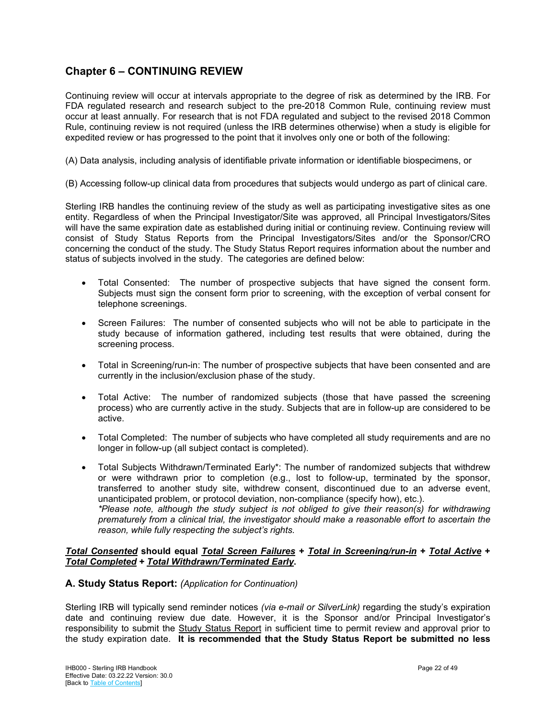## <span id="page-21-0"></span>**Chapter 6 – CONTINUING REVIEW**

Continuing review will occur at intervals appropriate to the degree of risk as determined by the IRB. For FDA regulated research and research subject to the pre-2018 Common Rule, continuing review must occur at least annually. For research that is not FDA regulated and subject to the revised 2018 Common Rule, continuing review is not required (unless the IRB determines otherwise) when a study is eligible for expedited review or has progressed to the point that it involves only one or both of the following:

(A) Data analysis, including analysis of identifiable private information or identifiable biospecimens, or

(B) Accessing follow-up clinical data from procedures that subjects would undergo as part of clinical care.

Sterling IRB handles the continuing review of the study as well as participating investigative sites as one entity. Regardless of when the Principal Investigator/Site was approved, all Principal Investigators/Sites will have the same expiration date as established during initial or continuing review. Continuing review will consist of Study Status Reports from the Principal Investigators/Sites and/or the Sponsor/CRO concerning the conduct of the study. The Study Status Report requires information about the number and status of subjects involved in the study. The categories are defined below:

- Total Consented: The number of prospective subjects that have signed the consent form. Subjects must sign the consent form prior to screening, with the exception of verbal consent for telephone screenings.
- Screen Failures: The number of consented subjects who will not be able to participate in the study because of information gathered, including test results that were obtained, during the screening process.
- Total in Screening/run-in: The number of prospective subjects that have been consented and are currently in the inclusion/exclusion phase of the study.
- Total Active: The number of randomized subjects (those that have passed the screening process) who are currently active in the study. Subjects that are in follow-up are considered to be active.
- Total Completed: The number of subjects who have completed all study requirements and are no longer in follow-up (all subject contact is completed).
- Total Subjects Withdrawn/Terminated Early\*: The number of randomized subjects that withdrew or were withdrawn prior to completion (e.g., lost to follow-up, terminated by the sponsor, transferred to another study site, withdrew consent, discontinued due to an adverse event, unanticipated problem, or protocol deviation, non-compliance (specify how), etc.). *\*Please note, although the study subject is not obliged to give their reason(s) for withdrawing prematurely from a clinical trial, the investigator should make a reasonable effort to ascertain the reason, while fully respecting the subject's rights.*

#### *Total Consented* **should equal** *Total Screen Failures* **+** *Total in Screening/run-in* **+** *Total Active* **+**  *Total Completed* **+** *Total Withdrawn/Terminated Early***.**

## <span id="page-21-1"></span>**A. Study Status Report:** *(Application for Continuation)*

Sterling IRB will typically send reminder notices *(via e-mail or SilverLink)* regarding the study's expiration date and continuing review due date*.* However, it is the Sponsor and/or Principal Investigator's responsibility to submit the Study Status Report in sufficient time to permit review and approval prior to the study expiration date. **It is recommended that the Study Status Report be submitted no less**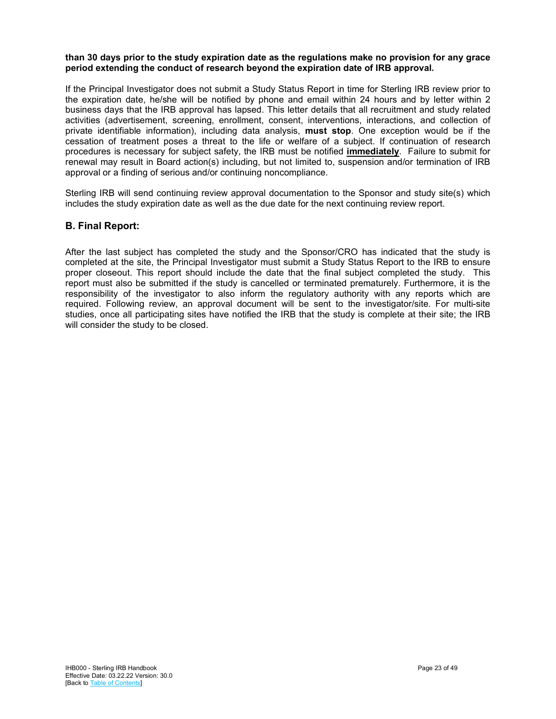#### **than 30 days prior to the study expiration date as the regulations make no provision for any grace period extending the conduct of research beyond the expiration date of IRB approval.**

If the Principal Investigator does not submit a Study Status Report in time for Sterling IRB review prior to the expiration date, he/she will be notified by phone and email within 24 hours and by letter within 2 business days that the IRB approval has lapsed. This letter details that all recruitment and study related activities (advertisement, screening, enrollment, consent, interventions, interactions, and collection of private identifiable information), including data analysis, **must stop**. One exception would be if the cessation of treatment poses a threat to the life or welfare of a subject. If continuation of research procedures is necessary for subject safety, the IRB must be notified **immediately**. Failure to submit for renewal may result in Board action(s) including, but not limited to, suspension and/or termination of IRB approval or a finding of serious and/or continuing noncompliance.

Sterling IRB will send continuing review approval documentation to the Sponsor and study site(s) which includes the study expiration date as well as the due date for the next continuing review report.

## <span id="page-22-0"></span>**B. Final Report:**

After the last subject has completed the study and the Sponsor/CRO has indicated that the study is completed at the site, the Principal Investigator must submit a Study Status Report to the IRB to ensure proper closeout. This report should include the date that the final subject completed the study. This report must also be submitted if the study is cancelled or terminated prematurely. Furthermore, it is the responsibility of the investigator to also inform the regulatory authority with any reports which are required. Following review, an approval document will be sent to the investigator/site. For multi-site studies, once all participating sites have notified the IRB that the study is complete at their site; the IRB will consider the study to be closed.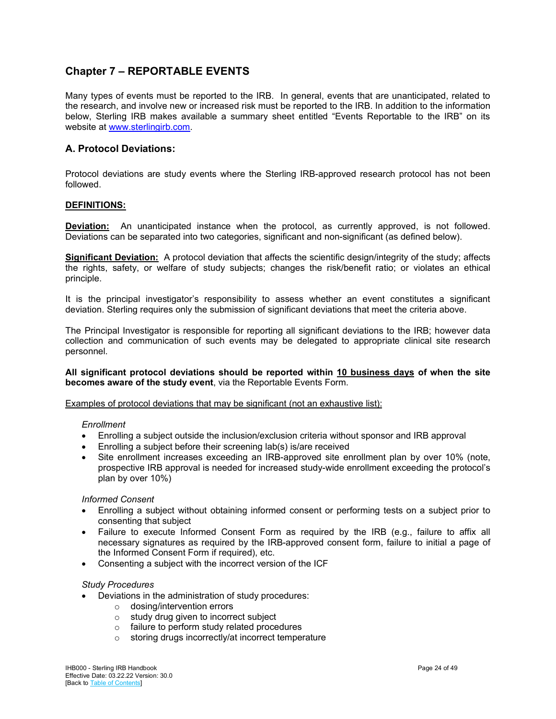## <span id="page-23-0"></span>**Chapter 7 – REPORTABLE EVENTS**

Many types of events must be reported to the IRB. In general, events that are unanticipated, related to the research, and involve new or increased risk must be reported to the IRB. In addition to the information below, Sterling IRB makes available a summary sheet entitled "Events Reportable to the IRB" on its website at [www.sterlingirb.com.](http://www.sterlingirb.com/)

## <span id="page-23-1"></span>**A. Protocol Deviations:**

Protocol deviations are study events where the Sterling IRB-approved research protocol has not been followed.

#### **DEFINITIONS:**

**Deviation:** An unanticipated instance when the protocol, as currently approved, is not followed. Deviations can be separated into two categories, significant and non-significant (as defined below).

**Significant Deviation:** A protocol deviation that affects the scientific design/integrity of the study; affects the rights, safety, or welfare of study subjects; changes the risk/benefit ratio; or violates an ethical principle.

It is the principal investigator's responsibility to assess whether an event constitutes a significant deviation. Sterling requires only the submission of significant deviations that meet the criteria above.

The Principal Investigator is responsible for reporting all significant deviations to the IRB; however data collection and communication of such events may be delegated to appropriate clinical site research personnel.

**All significant protocol deviations should be reported within 10 business days of when the site becomes aware of the study event**, via the Reportable Events Form.

Examples of protocol deviations that may be significant (not an exhaustive list):

#### *Enrollment*

- Enrolling a subject outside the inclusion/exclusion criteria without sponsor and IRB approval
- Enrolling a subject before their screening lab(s) is/are received
- Site enrollment increases exceeding an IRB-approved site enrollment plan by over 10% (note, prospective IRB approval is needed for increased study-wide enrollment exceeding the protocol's plan by over 10%)

#### *Informed Consent*

- Enrolling a subject without obtaining informed consent or performing tests on a subject prior to consenting that subject
- Failure to execute Informed Consent Form as required by the IRB (e.g., failure to affix all necessary signatures as required by the IRB-approved consent form, failure to initial a page of the Informed Consent Form if required), etc.
- Consenting a subject with the incorrect version of the ICF

#### *Study Procedures*

- Deviations in the administration of study procedures:
	- o dosing/intervention errors
	-
	- $\circ$  study drug given to incorrect subject  $\circ$  failure to perform study related proce  $\circ$  failure to perform study related procedures<br> $\circ$  storing drugs incorrectly/at incorrect tempero
	- storing drugs incorrectly/at incorrect temperature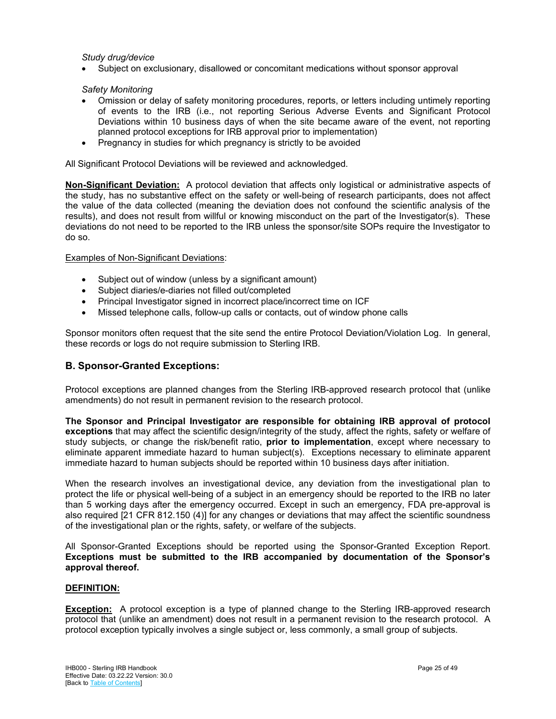#### *Study drug/device*

• Subject on exclusionary, disallowed or concomitant medications without sponsor approval

#### *Safety Monitoring*

- Omission or delay of safety monitoring procedures, reports, or letters including untimely reporting of events to the IRB (i.e., not reporting Serious Adverse Events and Significant Protocol Deviations within 10 business days of when the site became aware of the event, not reporting planned protocol exceptions for IRB approval prior to implementation)
- Pregnancy in studies for which pregnancy is strictly to be avoided

All Significant Protocol Deviations will be reviewed and acknowledged.

**Non-Significant Deviation:** A protocol deviation that affects only logistical or administrative aspects of the study, has no substantive effect on the safety or well-being of research participants, does not affect the value of the data collected (meaning the deviation does not confound the scientific analysis of the results), and does not result from willful or knowing misconduct on the part of the Investigator(s). These deviations do not need to be reported to the IRB unless the sponsor/site SOPs require the Investigator to do so.

#### Examples of Non-Significant Deviations:

- Subject out of window (unless by a significant amount)
- Subject diaries/e-diaries not filled out/completed
- Principal Investigator signed in incorrect place/incorrect time on ICF
- Missed telephone calls, follow-up calls or contacts, out of window phone calls

Sponsor monitors often request that the site send the entire Protocol Deviation/Violation Log. In general, these records or logs do not require submission to Sterling IRB.

## <span id="page-24-0"></span>**B. Sponsor-Granted Exceptions:**

Protocol exceptions are planned changes from the Sterling IRB-approved research protocol that (unlike amendments) do not result in permanent revision to the research protocol.

**The Sponsor and Principal Investigator are responsible for obtaining IRB approval of protocol exceptions** that may affect the scientific design/integrity of the study, affect the rights, safety or welfare of study subjects, or change the risk/benefit ratio, **prior to implementation**, except where necessary to eliminate apparent immediate hazard to human subject(s). Exceptions necessary to eliminate apparent immediate hazard to human subjects should be reported within 10 business days after initiation.

When the research involves an investigational device, any deviation from the investigational plan to protect the life or physical well-being of a subject in an emergency should be reported to the IRB no later than 5 working days after the emergency occurred. Except in such an emergency, FDA pre-approval is also required [21 CFR 812.150 (4)] for any changes or deviations that may affect the scientific soundness of the investigational plan or the rights, safety, or welfare of the subjects.

All Sponsor-Granted Exceptions should be reported using the Sponsor-Granted Exception Report. **Exceptions must be submitted to the IRB accompanied by documentation of the Sponsor's approval thereof.**

#### **DEFINITION:**

**Exception:** A protocol exception is a type of planned change to the Sterling IRB-approved research protocol that (unlike an amendment) does not result in a permanent revision to the research protocol. A protocol exception typically involves a single subject or, less commonly, a small group of subjects.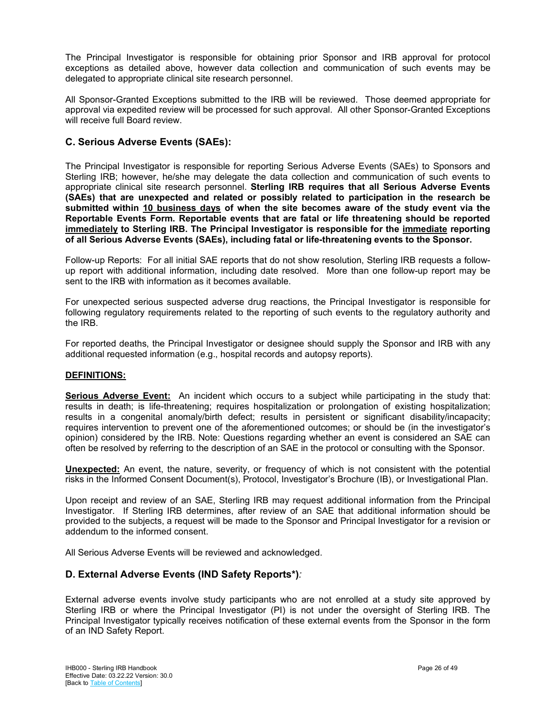The Principal Investigator is responsible for obtaining prior Sponsor and IRB approval for protocol exceptions as detailed above, however data collection and communication of such events may be delegated to appropriate clinical site research personnel.

All Sponsor-Granted Exceptions submitted to the IRB will be reviewed. Those deemed appropriate for approval via expedited review will be processed for such approval. All other Sponsor-Granted Exceptions will receive full Board review.

## <span id="page-25-0"></span>**C. Serious Adverse Events (SAEs):**

The Principal Investigator is responsible for reporting Serious Adverse Events (SAEs) to Sponsors and Sterling IRB; however, he/she may delegate the data collection and communication of such events to appropriate clinical site research personnel. **Sterling IRB requires that all Serious Adverse Events (SAEs) that are unexpected and related or possibly related to participation in the research be submitted within 10 business days of when the site becomes aware of the study event via the Reportable Events Form. Reportable events that are fatal or life threatening should be reported immediately to Sterling IRB. The Principal Investigator is responsible for the immediate reporting of all Serious Adverse Events (SAEs), including fatal or life-threatening events to the Sponsor.**

Follow-up Reports: For all initial SAE reports that do not show resolution, Sterling IRB requests a followup report with additional information, including date resolved. More than one follow-up report may be sent to the IRB with information as it becomes available.

For unexpected serious suspected adverse drug reactions, the Principal Investigator is responsible for following regulatory requirements related to the reporting of such events to the regulatory authority and the IRB.

For reported deaths, the Principal Investigator or designee should supply the Sponsor and IRB with any additional requested information (e.g., hospital records and autopsy reports).

#### **DEFINITIONS:**

**Serious Adverse Event:** An incident which occurs to a subject while participating in the study that: results in death; is life-threatening; requires hospitalization or prolongation of existing hospitalization; results in a congenital anomaly/birth defect; results in persistent or significant disability/incapacity; requires intervention to prevent one of the aforementioned outcomes; or should be (in the investigator's opinion) considered by the IRB. Note: Questions regarding whether an event is considered an SAE can often be resolved by referring to the description of an SAE in the protocol or consulting with the Sponsor.

**Unexpected:** An event, the nature, severity, or frequency of which is not consistent with the potential risks in the Informed Consent Document(s), Protocol, Investigator's Brochure (IB), or Investigational Plan.

Upon receipt and review of an SAE, Sterling IRB may request additional information from the Principal Investigator. If Sterling IRB determines, after review of an SAE that additional information should be provided to the subjects, a request will be made to the Sponsor and Principal Investigator for a revision or addendum to the informed consent.

<span id="page-25-1"></span>All Serious Adverse Events will be reviewed and acknowledged.

## **D. External Adverse Events (IND Safety Reports\*)***:*

External adverse events involve study participants who are not enrolled at a study site approved by Sterling IRB or where the Principal Investigator (PI) is not under the oversight of Sterling IRB. The Principal Investigator typically receives notification of these external events from the Sponsor in the form of an IND Safety Report.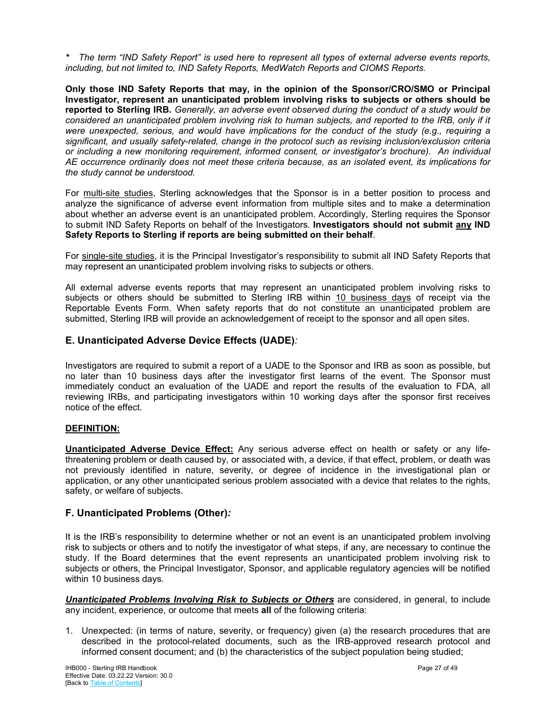*\* The term "IND Safety Report" is used here to represent all types of external adverse events reports, including, but not limited to, IND Safety Reports, MedWatch Reports and CIOMS Reports.*

**Only those IND Safety Reports that may, in the opinion of the Sponsor/CRO/SMO or Principal Investigator, represent an unanticipated problem involving risks to subjects or others should be reported to Sterling IRB.** *Generally, an adverse event observed during the conduct of a study would be considered an unanticipated problem involving risk to human subjects, and reported to the IRB, only if it were unexpected, serious, and would have implications for the conduct of the study (e.g., requiring a significant, and usually safety-related, change in the protocol such as revising inclusion/exclusion criteria or including a new monitoring requirement, informed consent, or investigator's brochure). An individual AE occurrence ordinarily does not meet these criteria because, as an isolated event, its implications for the study cannot be understood.* 

For multi-site studies, Sterling acknowledges that the Sponsor is in a better position to process and analyze the significance of adverse event information from multiple sites and to make a determination about whether an adverse event is an unanticipated problem. Accordingly, Sterling requires the Sponsor to submit IND Safety Reports on behalf of the Investigators. **Investigators should not submit any IND Safety Reports to Sterling if reports are being submitted on their behalf**.

For single-site studies, it is the Principal Investigator's responsibility to submit all IND Safety Reports that may represent an unanticipated problem involving risks to subjects or others.

All external adverse events reports that may represent an unanticipated problem involving risks to subjects or others should be submitted to Sterling IRB within 10 business days of receipt via the Reportable Events Form. When safety reports that do not constitute an unanticipated problem are submitted, Sterling IRB will provide an acknowledgement of receipt to the sponsor and all open sites.

## <span id="page-26-0"></span>**E. Unanticipated Adverse Device Effects (UADE)***:*

Investigators are required to submit a report of a UADE to the Sponsor and IRB as soon as possible, but no later than 10 business days after the investigator first learns of the event. The Sponsor must immediately conduct an evaluation of the UADE and report the results of the evaluation to FDA, all reviewing IRBs, and participating investigators within 10 working days after the sponsor first receives notice of the effect.

#### **DEFINITION:**

**Unanticipated Adverse Device Effect:** Any serious adverse effect on health or safety or any lifethreatening problem or death caused by, or associated with, a device, if that effect, problem, or death was not previously identified in nature, severity, or degree of incidence in the investigational plan or application, or any other unanticipated serious problem associated with a device that relates to the rights, safety, or welfare of subjects.

## <span id="page-26-1"></span>**F. Unanticipated Problems (Other)***:*

It is the IRB's responsibility to determine whether or not an event is an unanticipated problem involving risk to subjects or others and to notify the investigator of what steps, if any, are necessary to continue the study. If the Board determines that the event represents an unanticipated problem involving risk to subjects or others, the Principal Investigator, Sponsor, and applicable regulatory agencies will be notified within 10 business days.

*Unanticipated Problems Involving Risk to Subjects or Others* are considered, in general, to include any incident, experience, or outcome that meets **all** of the following criteria:

1. Unexpected: (in terms of nature, severity, or frequency) given (a) the research procedures that are described in the protocol-related documents, such as the IRB-approved research protocol and informed consent document; and (b) the characteristics of the subject population being studied;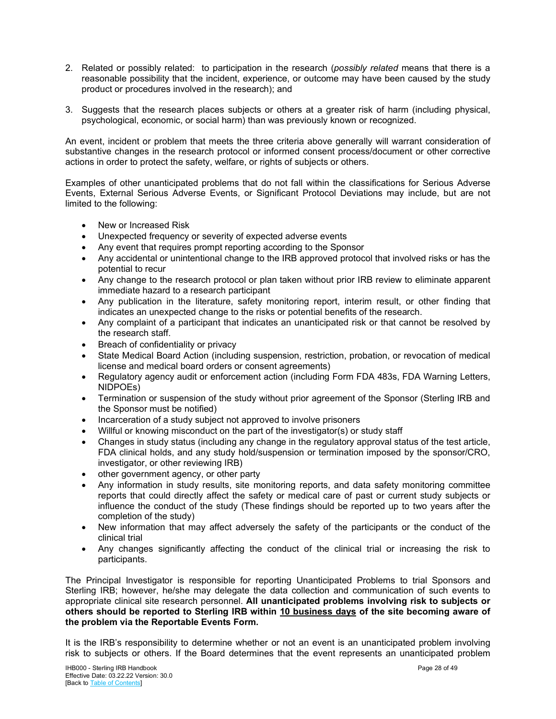- 2. Related or possibly related: to participation in the research (*possibly related* means that there is a reasonable possibility that the incident, experience, or outcome may have been caused by the study product or procedures involved in the research); and
- 3. Suggests that the research places subjects or others at a greater risk of harm (including physical, psychological, economic, or social harm) than was previously known or recognized.

An event, incident or problem that meets the three criteria above generally will warrant consideration of substantive changes in the research protocol or informed consent process/document or other corrective actions in order to protect the safety, welfare, or rights of subjects or others.

Examples of other unanticipated problems that do not fall within the classifications for Serious Adverse Events, External Serious Adverse Events, or Significant Protocol Deviations may include, but are not limited to the following:

- New or Increased Risk
- Unexpected frequency or severity of expected adverse events
- Any event that requires prompt reporting according to the Sponsor
- Any accidental or unintentional change to the IRB approved protocol that involved risks or has the potential to recur
- Any change to the research protocol or plan taken without prior IRB review to eliminate apparent immediate hazard to a research participant
- Any publication in the literature, safety monitoring report, interim result, or other finding that indicates an unexpected change to the risks or potential benefits of the research.
- Any complaint of a participant that indicates an unanticipated risk or that cannot be resolved by the research staff.
- Breach of confidentiality or privacy
- State Medical Board Action (including suspension, restriction, probation, or revocation of medical license and medical board orders or consent agreements)
- Regulatory agency audit or enforcement action (including Form FDA 483s, FDA Warning Letters, NIDPOEs)
- Termination or suspension of the study without prior agreement of the Sponsor (Sterling IRB and the Sponsor must be notified)
- Incarceration of a study subject not approved to involve prisoners
- Willful or knowing misconduct on the part of the investigator(s) or study staff
- Changes in study status (including any change in the regulatory approval status of the test article, FDA clinical holds, and any study hold/suspension or termination imposed by the sponsor/CRO, investigator, or other reviewing IRB)
- other government agency, or other party
- Any information in study results, site monitoring reports, and data safety monitoring committee reports that could directly affect the safety or medical care of past or current study subjects or influence the conduct of the study (These findings should be reported up to two years after the completion of the study)
- New information that may affect adversely the safety of the participants or the conduct of the clinical trial
- Any changes significantly affecting the conduct of the clinical trial or increasing the risk to participants.

The Principal Investigator is responsible for reporting Unanticipated Problems to trial Sponsors and Sterling IRB; however, he/she may delegate the data collection and communication of such events to appropriate clinical site research personnel. **All unanticipated problems involving risk to subjects or others should be reported to Sterling IRB within 10 business days of the site becoming aware of the problem via the Reportable Events Form.**

It is the IRB's responsibility to determine whether or not an event is an unanticipated problem involving risk to subjects or others. If the Board determines that the event represents an unanticipated problem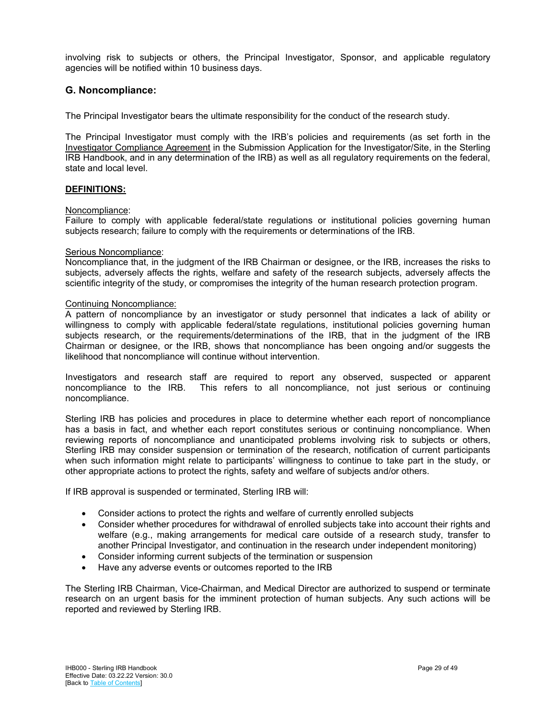involving risk to subjects or others, the Principal Investigator, Sponsor, and applicable regulatory agencies will be notified within 10 business days.

## <span id="page-28-0"></span>**G. Noncompliance:**

The Principal Investigator bears the ultimate responsibility for the conduct of the research study.

The Principal Investigator must comply with the IRB's policies and requirements (as set forth in the Investigator Compliance Agreement in the Submission Application for the Investigator/Site, in the Sterling IRB Handbook, and in any determination of the IRB) as well as all regulatory requirements on the federal, state and local level.

#### **DEFINITIONS:**

#### Noncompliance:

Failure to comply with applicable federal/state regulations or institutional policies governing human subjects research; failure to comply with the requirements or determinations of the IRB.

#### Serious Noncompliance:

Noncompliance that, in the judgment of the IRB Chairman or designee, or the IRB, increases the risks to subjects, adversely affects the rights, welfare and safety of the research subjects, adversely affects the scientific integrity of the study, or compromises the integrity of the human research protection program.

#### Continuing Noncompliance:

A pattern of noncompliance by an investigator or study personnel that indicates a lack of ability or willingness to comply with applicable federal/state regulations, institutional policies governing human subjects research, or the requirements/determinations of the IRB, that in the judgment of the IRB Chairman or designee, or the IRB, shows that noncompliance has been ongoing and/or suggests the likelihood that noncompliance will continue without intervention.

Investigators and research staff are required to report any observed, suspected or apparent noncompliance to the IRB. This refers to all noncompliance, not just serious or continuing noncompliance.

Sterling IRB has policies and procedures in place to determine whether each report of noncompliance has a basis in fact, and whether each report constitutes serious or continuing noncompliance. When reviewing reports of noncompliance and unanticipated problems involving risk to subjects or others, Sterling IRB may consider suspension or termination of the research, notification of current participants when such information might relate to participants' willingness to continue to take part in the study, or other appropriate actions to protect the rights, safety and welfare of subjects and/or others.

If IRB approval is suspended or terminated, Sterling IRB will:

- Consider actions to protect the rights and welfare of currently enrolled subjects
- Consider whether procedures for withdrawal of enrolled subjects take into account their rights and welfare (e.g., making arrangements for medical care outside of a research study, transfer to another Principal Investigator, and continuation in the research under independent monitoring)
- Consider informing current subjects of the termination or suspension
- Have any adverse events or outcomes reported to the IRB

The Sterling IRB Chairman, Vice-Chairman, and Medical Director are authorized to suspend or terminate research on an urgent basis for the imminent protection of human subjects. Any such actions will be reported and reviewed by Sterling IRB.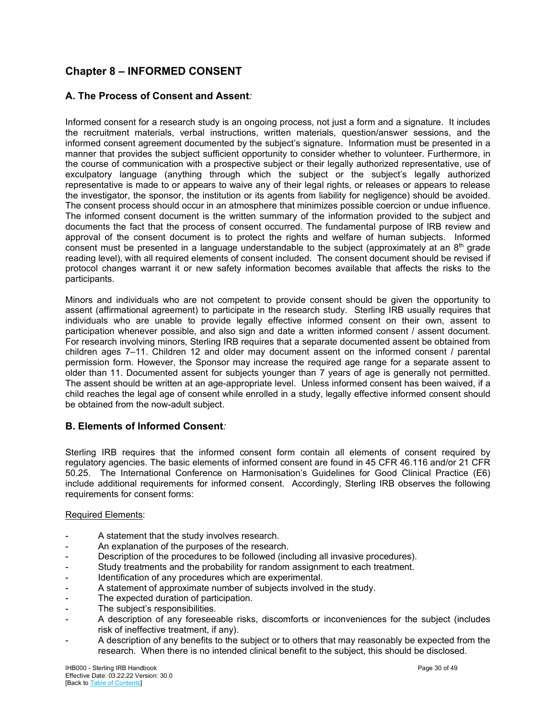## <span id="page-29-0"></span>**Chapter 8 – INFORMED CONSENT**

## <span id="page-29-1"></span>**A. The Process of Consent and Assent***:*

Informed consent for a research study is an ongoing process, not just a form and a signature. It includes the recruitment materials, verbal instructions, written materials, question/answer sessions, and the informed consent agreement documented by the subject's signature. Information must be presented in a manner that provides the subject sufficient opportunity to consider whether to volunteer. Furthermore, in the course of communication with a prospective subject or their legally authorized representative, use of exculpatory language (anything through which the subject or the subject's legally authorized representative is made to or appears to waive any of their legal rights, or releases or appears to release the investigator, the sponsor, the institution or its agents from liability for negligence) should be avoided. The consent process should occur in an atmosphere that minimizes possible coercion or undue influence. The informed consent document is the written summary of the information provided to the subject and documents the fact that the process of consent occurred. The fundamental purpose of IRB review and approval of the consent document is to protect the rights and welfare of human subjects. Informed consent must be presented in a language understandable to the subject (approximately at an  $8<sup>th</sup>$  grade reading level), with all required elements of consent included. The consent document should be revised if protocol changes warrant it or new safety information becomes available that affects the risks to the participants.

Minors and individuals who are not competent to provide consent should be given the opportunity to assent (affirmational agreement) to participate in the research study. Sterling IRB usually requires that individuals who are unable to provide legally effective informed consent on their own, assent to participation whenever possible, and also sign and date a written informed consent / assent document. For research involving minors, Sterling IRB requires that a separate documented assent be obtained from children ages 7–11. Children 12 and older may document assent on the informed consent / parental permission form. However, the Sponsor may increase the required age range for a separate assent to older than 11. Documented assent for subjects younger than 7 years of age is generally not permitted. The assent should be written at an age-appropriate level. Unless informed consent has been waived, if a child reaches the legal age of consent while enrolled in a study, legally effective informed consent should be obtained from the now-adult subject.

## <span id="page-29-2"></span>**B. Elements of Informed Consent***:*

Sterling IRB requires that the informed consent form contain all elements of consent required by regulatory agencies. The basic elements of informed consent are found in 45 CFR 46.116 and/or 21 CFR 50.25. The International Conference on Harmonisation's Guidelines for Good Clinical Practice (E6) include additional requirements for informed consent. Accordingly, Sterling IRB observes the following requirements for consent forms:

#### Required Elements:

- A statement that the study involves research.
- An explanation of the purposes of the research.
- Description of the procedures to be followed (including all invasive procedures).
- Study treatments and the probability for random assignment to each treatment.
- Identification of any procedures which are experimental.
- A statement of approximate number of subjects involved in the study.
- The expected duration of participation.
- The subiect's responsibilities.
- A description of any foreseeable risks, discomforts or inconveniences for the subject (includes risk of ineffective treatment, if any).
- A description of any benefits to the subject or to others that may reasonably be expected from the research. When there is no intended clinical benefit to the subject, this should be disclosed.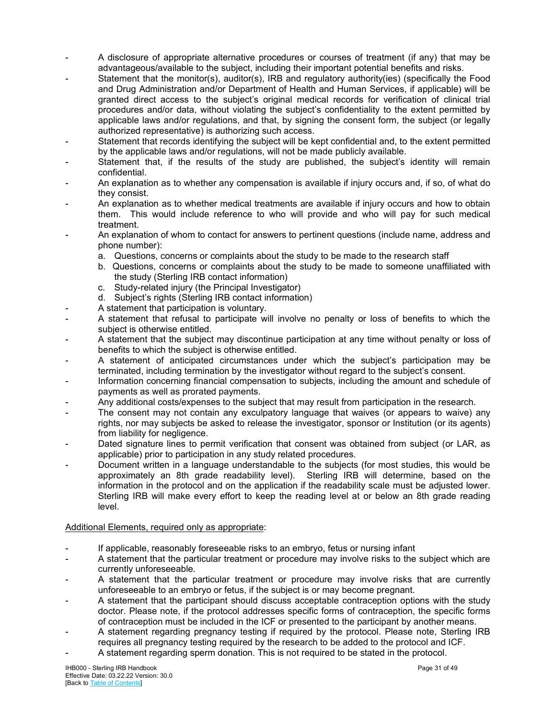- A disclosure of appropriate alternative procedures or courses of treatment (if any) that may be advantageous/available to the subject, including their important potential benefits and risks.
- Statement that the monitor(s), auditor(s), IRB and regulatory authority(ies) (specifically the Food and Drug Administration and/or Department of Health and Human Services, if applicable) will be granted direct access to the subject's original medical records for verification of clinical trial procedures and/or data, without violating the subject's confidentiality to the extent permitted by applicable laws and/or regulations, and that, by signing the consent form, the subject (or legally authorized representative) is authorizing such access.
- Statement that records identifying the subject will be kept confidential and, to the extent permitted by the applicable laws and/or regulations, will not be made publicly available.
- Statement that, if the results of the study are published, the subject's identity will remain confidential.
- An explanation as to whether any compensation is available if injury occurs and, if so, of what do they consist.
- An explanation as to whether medical treatments are available if injury occurs and how to obtain them. This would include reference to who will provide and who will pay for such medical treatment.
- An explanation of whom to contact for answers to pertinent questions (include name, address and phone number):
	- a. Questions, concerns or complaints about the study to be made to the research staff
	- b. Questions, concerns or complaints about the study to be made to someone unaffiliated with the study (Sterling IRB contact information)
	- c. Study-related injury (the Principal Investigator)
	- d. Subject's rights (Sterling IRB contact information)
- A statement that participation is voluntary.
- A statement that refusal to participate will involve no penalty or loss of benefits to which the subject is otherwise entitled.
- A statement that the subject may discontinue participation at any time without penalty or loss of benefits to which the subject is otherwise entitled.
- A statement of anticipated circumstances under which the subject's participation may be terminated, including termination by the investigator without regard to the subject's consent.
- Information concerning financial compensation to subjects, including the amount and schedule of payments as well as prorated payments.
- Any additional costs/expenses to the subject that may result from participation in the research.
- The consent may not contain any exculpatory language that waives (or appears to waive) any rights, nor may subjects be asked to release the investigator, sponsor or Institution (or its agents) from liability for negligence.
- Dated signature lines to permit verification that consent was obtained from subject (or LAR, as applicable) prior to participation in any study related procedures.
- Document written in a language understandable to the subjects (for most studies, this would be approximately an 8th grade readability level). Sterling IRB will determine, based on the information in the protocol and on the application if the readability scale must be adjusted lower. Sterling IRB will make every effort to keep the reading level at or below an 8th grade reading level.

#### Additional Elements, required only as appropriate:

- If applicable, reasonably foreseeable risks to an embryo, fetus or nursing infant
- A statement that the particular treatment or procedure may involve risks to the subject which are currently unforeseeable.
- A statement that the particular treatment or procedure may involve risks that are currently unforeseeable to an embryo or fetus, if the subject is or may become pregnant.
- A statement that the participant should discuss acceptable contraception options with the study doctor. Please note, if the protocol addresses specific forms of contraception, the specific forms of contraception must be included in the ICF or presented to the participant by another means.
- A statement regarding pregnancy testing if required by the protocol. Please note, Sterling IRB requires all pregnancy testing required by the research to be added to the protocol and ICF.
- A statement regarding sperm donation. This is not required to be stated in the protocol.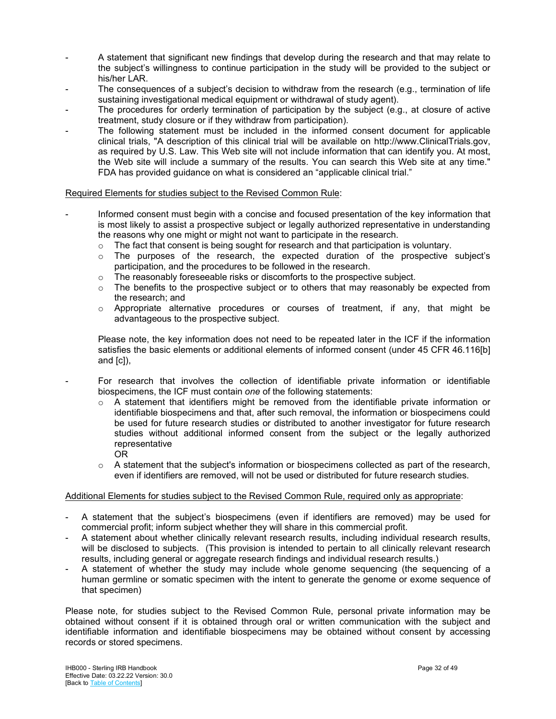- A statement that significant new findings that develop during the research and that may relate to the subject's willingness to continue participation in the study will be provided to the subject or his/her LAR.
- The consequences of a subject's decision to withdraw from the research (e.g., termination of life sustaining investigational medical equipment or withdrawal of study agent).
- The procedures for orderly termination of participation by the subject (e.g., at closure of active treatment, study closure or if they withdraw from participation).
- The following statement must be included in the informed consent document for applicable clinical trials, "A description of this clinical trial will be available on http://www.ClinicalTrials.gov, as required by U.S. Law. This Web site will not include information that can identify you. At most, the Web site will include a summary of the results. You can search this Web site at any time." FDA has provided guidance on what is considered an "applicable clinical trial."

#### Required Elements for studies subject to the Revised Common Rule:

- Informed consent must begin with a concise and focused presentation of the key information that is most likely to assist a prospective subject or legally authorized representative in understanding the reasons why one might or might not want to participate in the research.
	- $\circ$  The fact that consent is being sought for research and that participation is voluntary.
	- $\circ$  The purposes of the research, the expected duration of the prospective subject's participation, and the procedures to be followed in the research.
	- $\circ$  The reasonably foreseeable risks or discomforts to the prospective subject.
	- $\circ$  The benefits to the prospective subject or to others that may reasonably be expected from the research; and
	- $\circ$  Appropriate alternative procedures or courses of treatment, if any, that might be advantageous to the prospective subject.

Please note, the key information does not need to be repeated later in the ICF if the information satisfies the basic elements or additional elements of informed consent (under 45 CFR 46.116[b] and [c]),

- For research that involves the collection of identifiable private information or identifiable biospecimens, the ICF must contain *one* of the following statements:

- $\circ$  A statement that identifiers might be removed from the identifiable private information or identifiable biospecimens and that, after such removal, the information or biospecimens could be used for future research studies or distributed to another investigator for future research studies without additional informed consent from the subject or the legally authorized representative OR
- $\circ$  A statement that the subject's information or biospecimens collected as part of the research, even if identifiers are removed, will not be used or distributed for future research studies.

#### Additional Elements for studies subject to the Revised Common Rule, required only as appropriate:

- A statement that the subject's biospecimens (even if identifiers are removed) may be used for commercial profit; inform subject whether they will share in this commercial profit.
- A statement about whether clinically relevant research results, including individual research results, will be disclosed to subjects. (This provision is intended to pertain to all clinically relevant research results, including general or aggregate research findings and individual research results.)
- A statement of whether the study may include whole genome sequencing (the sequencing of a human germline or somatic specimen with the intent to generate the genome or exome sequence of that specimen)

Please note, for studies subject to the Revised Common Rule, personal private information may be obtained without consent if it is obtained through oral or written communication with the subject and identifiable information and identifiable biospecimens may be obtained without consent by accessing records or stored specimens.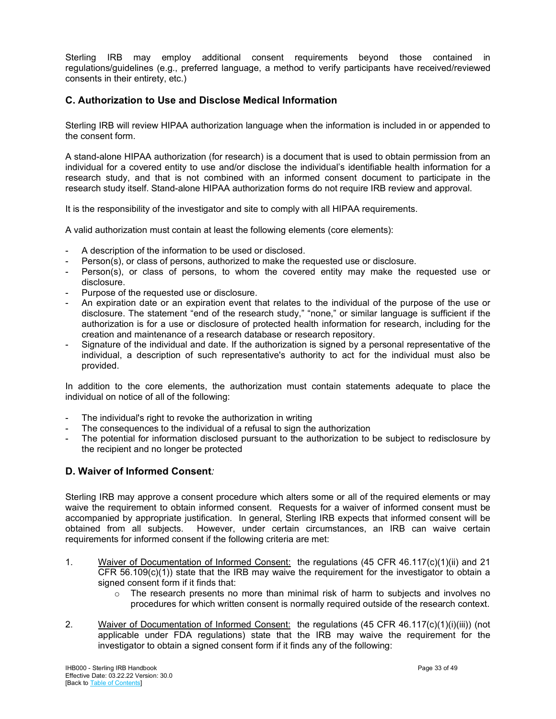Sterling IRB may employ additional consent requirements beyond those contained in regulations/guidelines (e.g., preferred language, a method to verify participants have received/reviewed consents in their entirety, etc.)

## <span id="page-32-0"></span>**C. Authorization to Use and Disclose Medical Information**

Sterling IRB will review HIPAA authorization language when the information is included in or appended to the consent form.

A stand-alone HIPAA authorization (for research) is a document that is used to obtain permission from an individual for a covered entity to use and/or disclose the individual's identifiable health information for a research study, and that is not combined with an informed consent document to participate in the research study itself. Stand-alone HIPAA authorization forms do not require IRB review and approval.

It is the responsibility of the investigator and site to comply with all HIPAA requirements.

A valid authorization must contain at least the following elements (core elements):

- A description of the information to be used or disclosed.
- Person(s), or class of persons, authorized to make the requested use or disclosure.
- Person(s), or class of persons, to whom the covered entity may make the requested use or disclosure.
- Purpose of the requested use or disclosure.
- An expiration date or an expiration event that relates to the individual of the purpose of the use or disclosure. The statement "end of the research study," "none," or similar language is sufficient if the authorization is for a use or disclosure of protected health information for research, including for the creation and maintenance of a research database or research repository.
- Signature of the individual and date. If the authorization is signed by a personal representative of the individual, a description of such representative's authority to act for the individual must also be provided.

In addition to the core elements, the authorization must contain statements adequate to place the individual on notice of all of the following:

- The individual's right to revoke the authorization in writing
- The consequences to the individual of a refusal to sign the authorization
- The potential for information disclosed pursuant to the authorization to be subject to redisclosure by the recipient and no longer be protected

## <span id="page-32-1"></span>**D. Waiver of Informed Consent***:*

Sterling IRB may approve a consent procedure which alters some or all of the required elements or may waive the requirement to obtain informed consent. Requests for a waiver of informed consent must be accompanied by appropriate justification. In general, Sterling IRB expects that informed consent will be obtained from all subjects. However, under certain circumstances, an IRB can waive certain requirements for informed consent if the following criteria are met:

- 1. Waiver of Documentation of Informed Consent: the regulations (45 CFR 46.117(c)(1)(ii) and 21 CFR 56.109(c)(1)) state that the IRB may waive the requirement for the investigator to obtain a signed consent form if it finds that:
	- $\circ$  The research presents no more than minimal risk of harm to subjects and involves no procedures for which written consent is normally required outside of the research context.
- 2. Waiver of Documentation of Informed Consent: the regulations (45 CFR 46.117(c)(1)(i)(iii)) (not applicable under FDA regulations) state that the IRB may waive the requirement for the investigator to obtain a signed consent form if it finds any of the following: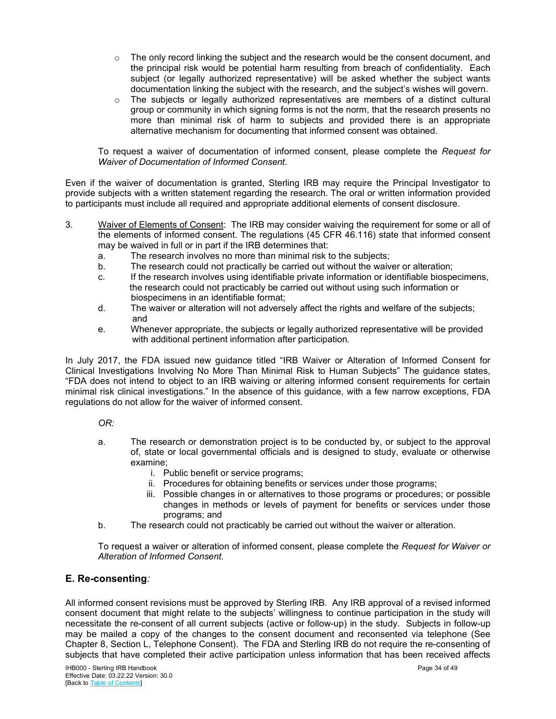- $\circ$  The only record linking the subject and the research would be the consent document, and the principal risk would be potential harm resulting from breach of confidentiality. Each subject (or legally authorized representative) will be asked whether the subject wants documentation linking the subject with the research, and the subject's wishes will govern.
- $\circ$  The subjects or legally authorized representatives are members of a distinct cultural group or community in which signing forms is not the norm, that the research presents no more than minimal risk of harm to subjects and provided there is an appropriate alternative mechanism for documenting that informed consent was obtained.

To request a waiver of documentation of informed consent, please complete the *Request for Waiver of Documentation of Informed Consent*.

Even if the waiver of documentation is granted, Sterling IRB may require the Principal Investigator to provide subjects with a written statement regarding the research. The oral or written information provided to participants must include all required and appropriate additional elements of consent disclosure.

- 3. Waiver of Elements of Consent: The IRB may consider waiving the requirement for some or all of the elements of informed consent. The regulations (45 CFR 46.116) state that informed consent may be waived in full or in part if the IRB determines that:
	- a. The research involves no more than minimal risk to the subjects;
	- b. The research could not practically be carried out without the waiver or alteration;
	- c. If the research involves using identifiable private information or identifiable biospecimens, the research could not practicably be carried out without using such information or biospecimens in an identifiable format;<br>d The waiver or alteration will not adverse
	- The waiver or alteration will not adversely affect the rights and welfare of the subjects; and
	- e. Whenever appropriate, the subjects or legally authorized representative will be provided with additional pertinent information after participation.

In July 2017, the FDA issued new guidance titled "IRB Waiver or Alteration of Informed Consent for Clinical Investigations Involving No More Than Minimal Risk to Human Subjects" The guidance states, "FDA does not intend to object to an IRB waiving or altering informed consent requirements for certain minimal risk clinical investigations." In the absence of this guidance, with a few narrow exceptions, FDA regulations do not allow for the waiver of informed consent.

*OR:*

- a. The research or demonstration project is to be conducted by, or subject to the approval of, state or local governmental officials and is designed to study, evaluate or otherwise examine;
	- i. Public benefit or service programs;
	- ii. Procedures for obtaining benefits or services under those programs;
	- iii. Possible changes in or alternatives to those programs or procedures; or possible changes in methods or levels of payment for benefits or services under those programs; and
- b. The research could not practicably be carried out without the waiver or alteration.

To request a waiver or alteration of informed consent, please complete the *Request for Waiver or Alteration of Informed Consent*.

## <span id="page-33-0"></span>**E. Re-consenting***:*

All informed consent revisions must be approved by Sterling IRB. Any IRB approval of a revised informed consent document that might relate to the subjects' willingness to continue participation in the study will necessitate the re-consent of all current subjects (active or follow-up) in the study. Subjects in follow-up may be mailed a copy of the changes to the consent document and reconsented via telephone (See Chapter 8, Section L, Telephone Consent). The FDA and Sterling IRB do not require the re-consenting of subjects that have completed their active participation unless information that has been received affects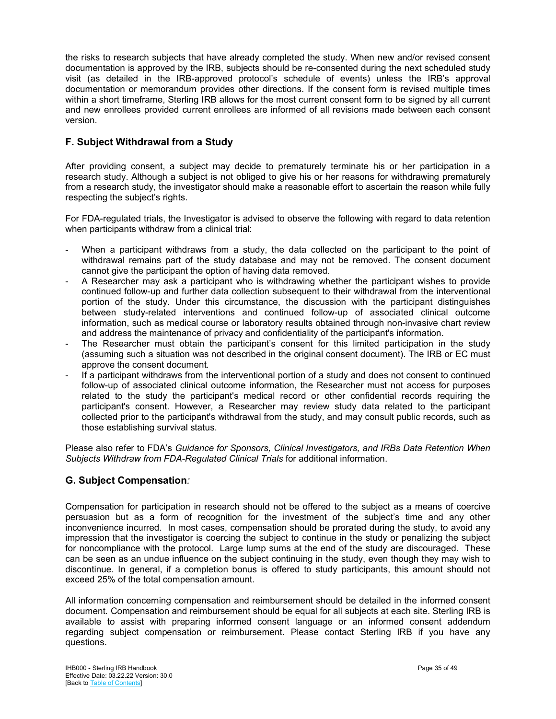the risks to research subjects that have already completed the study. When new and/or revised consent documentation is approved by the IRB, subjects should be re-consented during the next scheduled study visit (as detailed in the IRB-approved protocol's schedule of events) unless the IRB's approval documentation or memorandum provides other directions. If the consent form is revised multiple times within a short timeframe, Sterling IRB allows for the most current consent form to be signed by all current and new enrollees provided current enrollees are informed of all revisions made between each consent version.

## <span id="page-34-0"></span>**F. Subject Withdrawal from a Study**

After providing consent, a subject may decide to prematurely terminate his or her participation in a research study. Although a subject is not obliged to give his or her reasons for withdrawing prematurely from a research study, the investigator should make a reasonable effort to ascertain the reason while fully respecting the subject's rights.

For FDA-regulated trials, the Investigator is advised to observe the following with regard to data retention when participants withdraw from a clinical trial:

- When a participant withdraws from a study, the data collected on the participant to the point of withdrawal remains part of the study database and may not be removed. The consent document cannot give the participant the option of having data removed.
- A Researcher may ask a participant who is withdrawing whether the participant wishes to provide continued follow-up and further data collection subsequent to their withdrawal from the interventional portion of the study. Under this circumstance, the discussion with the participant distinguishes between study-related interventions and continued follow-up of associated clinical outcome information, such as medical course or laboratory results obtained through non-invasive chart review and address the maintenance of privacy and confidentiality of the participant's information.
- The Researcher must obtain the participant's consent for this limited participation in the study (assuming such a situation was not described in the original consent document). The IRB or EC must approve the consent document.
- If a participant withdraws from the interventional portion of a study and does not consent to continued follow-up of associated clinical outcome information, the Researcher must not access for purposes related to the study the participant's medical record or other confidential records requiring the participant's consent. However, a Researcher may review study data related to the participant collected prior to the participant's withdrawal from the study, and may consult public records, such as those establishing survival status.

Please also refer to FDA's *Guidance for Sponsors, Clinical Investigators, and IRBs Data Retention When Subjects Withdraw from FDA-Regulated Clinical Trials* for additional information.

## <span id="page-34-1"></span>**G. Subject Compensation***:*

Compensation for participation in research should not be offered to the subject as a means of coercive persuasion but as a form of recognition for the investment of the subject's time and any other inconvenience incurred. In most cases, compensation should be prorated during the study, to avoid any impression that the investigator is coercing the subject to continue in the study or penalizing the subject for noncompliance with the protocol. Large lump sums at the end of the study are discouraged. These can be seen as an undue influence on the subject continuing in the study, even though they may wish to discontinue. In general, if a completion bonus is offered to study participants, this amount should not exceed 25% of the total compensation amount.

All information concerning compensation and reimbursement should be detailed in the informed consent document. Compensation and reimbursement should be equal for all subjects at each site. Sterling IRB is available to assist with preparing informed consent language or an informed consent addendum regarding subject compensation or reimbursement. Please contact Sterling IRB if you have any questions.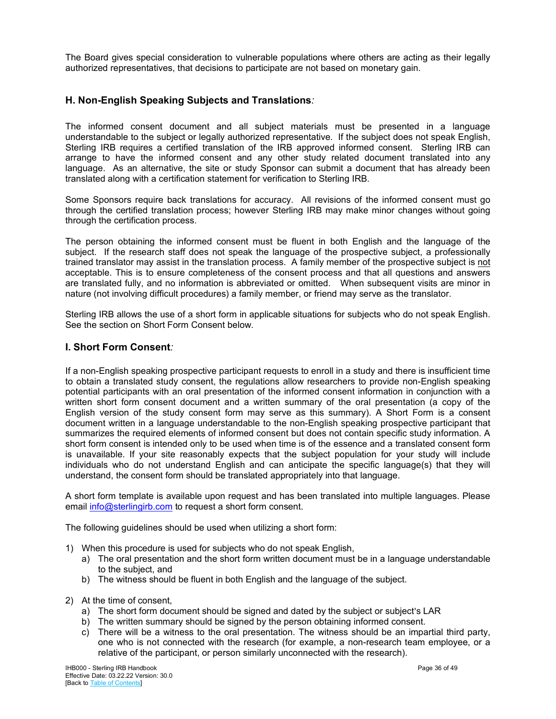The Board gives special consideration to vulnerable populations where others are acting as their legally authorized representatives, that decisions to participate are not based on monetary gain.

## <span id="page-35-0"></span>**H. Non-English Speaking Subjects and Translations***:*

The informed consent document and all subject materials must be presented in a language understandable to the subject or legally authorized representative. If the subject does not speak English, Sterling IRB requires a certified translation of the IRB approved informed consent. Sterling IRB can arrange to have the informed consent and any other study related document translated into any language. As an alternative, the site or study Sponsor can submit a document that has already been translated along with a certification statement for verification to Sterling IRB.

Some Sponsors require back translations for accuracy. All revisions of the informed consent must go through the certified translation process; however Sterling IRB may make minor changes without going through the certification process.

The person obtaining the informed consent must be fluent in both English and the language of the subject. If the research staff does not speak the language of the prospective subject, a professionally trained translator may assist in the translation process. A family member of the prospective subject is not acceptable. This is to ensure completeness of the consent process and that all questions and answers are translated fully, and no information is abbreviated or omitted. When subsequent visits are minor in nature (not involving difficult procedures) a family member, or friend may serve as the translator.

Sterling IRB allows the use of a short form in applicable situations for subjects who do not speak English. See the section on Short Form Consent below.

## <span id="page-35-1"></span>**I. Short Form Consent***:*

If a non-English speaking prospective participant requests to enroll in a study and there is insufficient time to obtain a translated study consent, the regulations allow researchers to provide non-English speaking potential participants with an oral presentation of the informed consent information in conjunction with a written short form consent document and a written summary of the oral presentation (a copy of the English version of the study consent form may serve as this summary). A Short Form is a consent document written in a language understandable to the non-English speaking prospective participant that summarizes the required elements of informed consent but does not contain specific study information. A short form consent is intended only to be used when time is of the essence and a translated consent form is unavailable. If your site reasonably expects that the subject population for your study will include individuals who do not understand English and can anticipate the specific language(s) that they will understand, the consent form should be translated appropriately into that language.

A short form template is available upon request and has been translated into multiple languages. Please emai[l info@sterlingirb.com](mailto:info@sterlingirb.com) to request a short form consent.

The following guidelines should be used when utilizing a short form:

- 1) When this procedure is used for subjects who do not speak English,
	- a) The oral presentation and the short form written document must be in a language understandable to the subject, and
	- b) The witness should be fluent in both English and the language of the subject.
- 2) At the time of consent,
	- a) The short form document should be signed and dated by the subject or subject's LAR
	- b) The written summary should be signed by the person obtaining informed consent.
	- c) There will be a witness to the oral presentation. The witness should be an impartial third party, one who is not connected with the research (for example, a non-research team employee, or a relative of the participant, or person similarly unconnected with the research).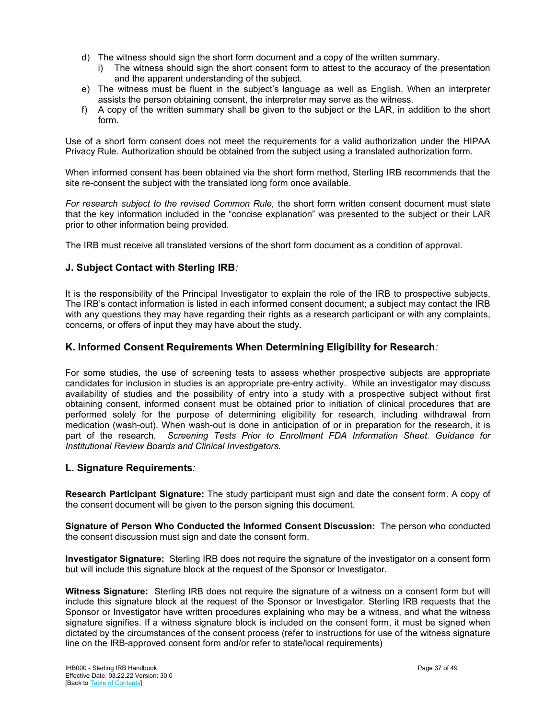- d) The witness should sign the short form document and a copy of the written summary.
	- i) The witness should sign the short consent form to attest to the accuracy of the presentation and the apparent understanding of the subject.
- e) The witness must be fluent in the subject's language as well as English. When an interpreter assists the person obtaining consent, the interpreter may serve as the witness.
- f) A copy of the written summary shall be given to the subject or the LAR, in addition to the short form.

Use of a short form consent does not meet the requirements for a valid authorization under the HIPAA Privacy Rule. Authorization should be obtained from the subject using a translated authorization form.

When informed consent has been obtained via the short form method, Sterling IRB recommends that the site re-consent the subject with the translated long form once available.

*For research subject to the revised Common Rule,* the short form written consent document must state that the key information included in the "concise explanation" was presented to the subject or their LAR prior to other information being provided.

<span id="page-36-0"></span>The IRB must receive all translated versions of the short form document as a condition of approval.

## **J. Subject Contact with Sterling IRB***:*

It is the responsibility of the Principal Investigator to explain the role of the IRB to prospective subjects. The IRB's contact information is listed in each informed consent document; a subject may contact the IRB with any questions they may have regarding their rights as a research participant or with any complaints, concerns, or offers of input they may have about the study.

## <span id="page-36-1"></span>**K. Informed Consent Requirements When Determining Eligibility for Research***:*

For some studies, the use of screening tests to assess whether prospective subjects are appropriate candidates for inclusion in studies is an appropriate pre-entry activity. While an investigator may discuss availability of studies and the possibility of entry into a study with a prospective subject without first obtaining consent, informed consent must be obtained prior to initiation of clinical procedures that are performed solely for the purpose of determining eligibility for research, including withdrawal from medication (wash-out). When wash-out is done in anticipation of or in preparation for the research, it is part of the research. *Screening Tests Prior to Enrollment FDA Information Sheet. Guidance for Institutional Review Boards and Clinical Investigators.*

## <span id="page-36-2"></span>**L. Signature Requirements***:*

**Research Participant Signature:** The study participant must sign and date the consent form. A copy of the consent document will be given to the person signing this document.

**Signature of Person Who Conducted the Informed Consent Discussion:** The person who conducted the consent discussion must sign and date the consent form.

**Investigator Signature:** Sterling IRB does not require the signature of the investigator on a consent form but will include this signature block at the request of the Sponsor or Investigator.

**Witness Signature:** Sterling IRB does not require the signature of a witness on a consent form but will include this signature block at the request of the Sponsor or Investigator. Sterling IRB requests that the Sponsor or Investigator have written procedures explaining who may be a witness, and what the witness signature signifies. If a witness signature block is included on the consent form, it must be signed when dictated by the circumstances of the consent process (refer to instructions for use of the witness signature line on the IRB-approved consent form and/or refer to state/local requirements)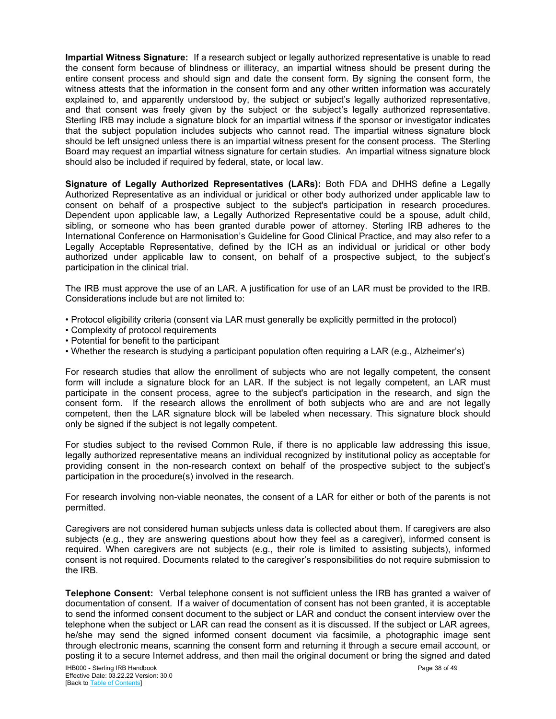**Impartial Witness Signature:** If a research subject or legally authorized representative is unable to read the consent form because of blindness or illiteracy, an impartial witness should be present during the entire consent process and should sign and date the consent form. By signing the consent form, the witness attests that the information in the consent form and any other written information was accurately explained to, and apparently understood by, the subject or subject's legally authorized representative, and that consent was freely given by the subject or the subject's legally authorized representative. Sterling IRB may include a signature block for an impartial witness if the sponsor or investigator indicates that the subject population includes subjects who cannot read. The impartial witness signature block should be left unsigned unless there is an impartial witness present for the consent process. The Sterling Board may request an impartial witness signature for certain studies. An impartial witness signature block should also be included if required by federal, state, or local law.

**Signature of Legally Authorized Representatives (LARs):** Both FDA and DHHS define a Legally Authorized Representative as an individual or juridical or other body authorized under applicable law to consent on behalf of a prospective subject to the subject's participation in research procedures. Dependent upon applicable law, a Legally Authorized Representative could be a spouse, adult child, sibling, or someone who has been granted durable power of attorney. Sterling IRB adheres to the International Conference on Harmonisation's Guideline for Good Clinical Practice, and may also refer to a Legally Acceptable Representative, defined by the ICH as an individual or juridical or other body authorized under applicable law to consent, on behalf of a prospective subject, to the subject's participation in the clinical trial.

The IRB must approve the use of an LAR. A justification for use of an LAR must be provided to the IRB. Considerations include but are not limited to:

- Protocol eligibility criteria (consent via LAR must generally be explicitly permitted in the protocol)
- Complexity of protocol requirements
- Potential for benefit to the participant
- Whether the research is studying a participant population often requiring a LAR (e.g., Alzheimer's)

For research studies that allow the enrollment of subjects who are not legally competent, the consent form will include a signature block for an LAR. If the subject is not legally competent, an LAR must participate in the consent process, agree to the subject's participation in the research, and sign the consent form. If the research allows the enrollment of both subjects who are and are not legally competent, then the LAR signature block will be labeled when necessary. This signature block should only be signed if the subject is not legally competent.

For studies subject to the revised Common Rule, if there is no applicable law addressing this issue, legally authorized representative means an individual recognized by institutional policy as acceptable for providing consent in the non-research context on behalf of the prospective subject to the subject's participation in the procedure(s) involved in the research.

For research involving non-viable neonates, the consent of a LAR for either or both of the parents is not permitted.

Caregivers are not considered human subjects unless data is collected about them. If caregivers are also subjects (e.g., they are answering questions about how they feel as a caregiver), informed consent is required. When caregivers are not subjects (e.g., their role is limited to assisting subjects), informed consent is not required. Documents related to the caregiver's responsibilities do not require submission to the IRB.

**Telephone Consent:** Verbal telephone consent is not sufficient unless the IRB has granted a waiver of documentation of consent. If a waiver of documentation of consent has not been granted, it is acceptable to send the informed consent document to the subject or LAR and conduct the consent interview over the telephone when the subject or LAR can read the consent as it is discussed. If the subject or LAR agrees, he/she may send the signed informed consent document via facsimile, a photographic image sent through electronic means, scanning the consent form and returning it through a secure email account, or posting it to a secure Internet address, and then mail the original document or bring the signed and dated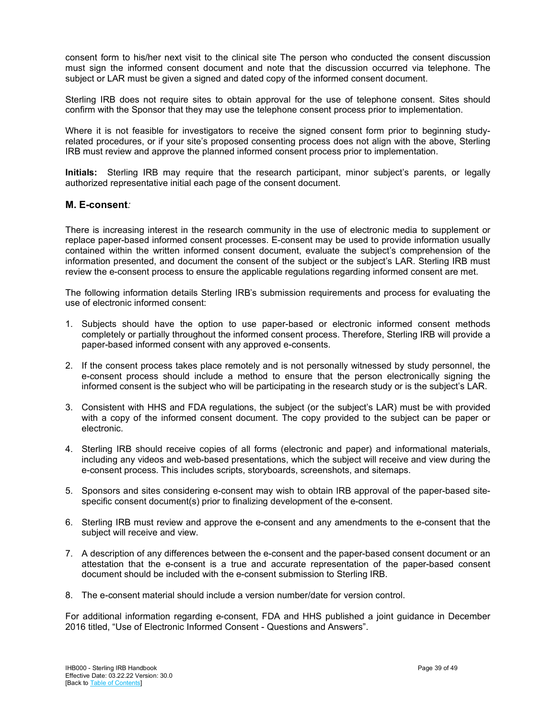consent form to his/her next visit to the clinical site The person who conducted the consent discussion must sign the informed consent document and note that the discussion occurred via telephone. The subject or LAR must be given a signed and dated copy of the informed consent document.

Sterling IRB does not require sites to obtain approval for the use of telephone consent. Sites should confirm with the Sponsor that they may use the telephone consent process prior to implementation.

Where it is not feasible for investigators to receive the signed consent form prior to beginning studyrelated procedures, or if your site's proposed consenting process does not align with the above, Sterling IRB must review and approve the planned informed consent process prior to implementation.

**Initials:** Sterling IRB may require that the research participant, minor subject's parents, or legally authorized representative initial each page of the consent document.

#### <span id="page-38-0"></span>**M. E-consent***:*

There is increasing interest in the research community in the use of electronic media to supplement or replace paper-based informed consent processes. E-consent may be used to provide information usually contained within the written informed consent document, evaluate the subject's comprehension of the information presented, and document the consent of the subject or the subject's LAR. Sterling IRB must review the e-consent process to ensure the applicable regulations regarding informed consent are met.

The following information details Sterling IRB's submission requirements and process for evaluating the use of electronic informed consent:

- 1. Subjects should have the option to use paper-based or electronic informed consent methods completely or partially throughout the informed consent process. Therefore, Sterling IRB will provide a paper-based informed consent with any approved e-consents.
- 2. If the consent process takes place remotely and is not personally witnessed by study personnel, the e-consent process should include a method to ensure that the person electronically signing the informed consent is the subject who will be participating in the research study or is the subject's LAR.
- 3. Consistent with HHS and FDA regulations, the subject (or the subject's LAR) must be with provided with a copy of the informed consent document. The copy provided to the subject can be paper or electronic.
- 4. Sterling IRB should receive copies of all forms (electronic and paper) and informational materials, including any videos and web-based presentations, which the subject will receive and view during the e-consent process. This includes scripts, storyboards, screenshots, and sitemaps.
- 5. Sponsors and sites considering e-consent may wish to obtain IRB approval of the paper-based sitespecific consent document(s) prior to finalizing development of the e-consent.
- 6. Sterling IRB must review and approve the e-consent and any amendments to the e-consent that the subject will receive and view.
- 7. A description of any differences between the e-consent and the paper-based consent document or an attestation that the e-consent is a true and accurate representation of the paper-based consent document should be included with the e-consent submission to Sterling IRB.
- 8. The e-consent material should include a version number/date for version control.

For additional information regarding e-consent, FDA and HHS published a joint guidance in December 2016 titled, "Use of Electronic Informed Consent - Questions and Answers".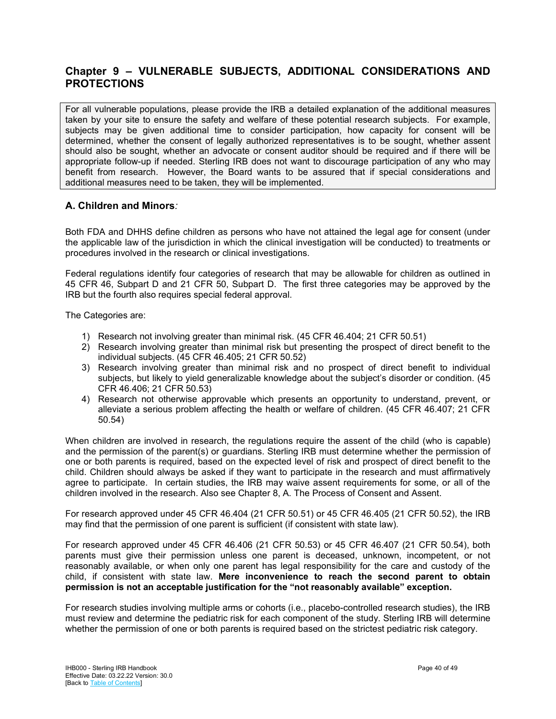## <span id="page-39-0"></span>**Chapter 9 – VULNERABLE SUBJECTS, ADDITIONAL CONSIDERATIONS AND PROTECTIONS**

For all vulnerable populations, please provide the IRB a detailed explanation of the additional measures taken by your site to ensure the safety and welfare of these potential research subjects. For example, subjects may be given additional time to consider participation, how capacity for consent will be determined, whether the consent of legally authorized representatives is to be sought, whether assent should also be sought, whether an advocate or consent auditor should be required and if there will be appropriate follow-up if needed. Sterling IRB does not want to discourage participation of any who may benefit from research. However, the Board wants to be assured that if special considerations and additional measures need to be taken, they will be implemented.

## <span id="page-39-1"></span>**A. Children and Minors***:*

Both FDA and DHHS define children as persons who have not attained the legal age for consent (under the applicable law of the jurisdiction in which the clinical investigation will be conducted) to treatments or procedures involved in the research or clinical investigations.

Federal regulations identify four categories of research that may be allowable for children as outlined in 45 CFR 46, Subpart D and 21 CFR 50, Subpart D. The first three categories may be approved by the IRB but the fourth also requires special federal approval.

The Categories are:

- 1) Research not involving greater than minimal risk. (45 CFR 46.404; 21 CFR 50.51)
- 2) Research involving greater than minimal risk but presenting the prospect of direct benefit to the individual subjects. (45 CFR 46.405; 21 CFR 50.52)
- 3) Research involving greater than minimal risk and no prospect of direct benefit to individual subjects, but likely to yield generalizable knowledge about the subject's disorder or condition. (45 CFR 46.406; 21 CFR 50.53)
- 4) Research not otherwise approvable which presents an opportunity to understand, prevent, or alleviate a serious problem affecting the health or welfare of children. (45 CFR 46.407; 21 CFR 50.54)

When children are involved in research, the regulations require the assent of the child (who is capable) and the permission of the parent(s) or guardians. Sterling IRB must determine whether the permission of one or both parents is required, based on the expected level of risk and prospect of direct benefit to the child. Children should always be asked if they want to participate in the research and must affirmatively agree to participate. In certain studies, the IRB may waive assent requirements for some, or all of the children involved in the research. Also see Chapter 8, A. The Process of Consent and Assent.

For research approved under 45 CFR 46.404 (21 CFR 50.51) or 45 CFR 46.405 (21 CFR 50.52), the IRB may find that the permission of one parent is sufficient (if consistent with state law).

For research approved under 45 CFR 46.406 (21 CFR 50.53) or 45 CFR 46.407 (21 CFR 50.54), both parents must give their permission unless one parent is deceased, unknown, incompetent, or not reasonably available, or when only one parent has legal responsibility for the care and custody of the child, if consistent with state law. **Mere inconvenience to reach the second parent to obtain permission is not an acceptable justification for the "not reasonably available" exception.**

For research studies involving multiple arms or cohorts (i.e., placebo-controlled research studies), the IRB must review and determine the pediatric risk for each component of the study. Sterling IRB will determine whether the permission of one or both parents is required based on the strictest pediatric risk category.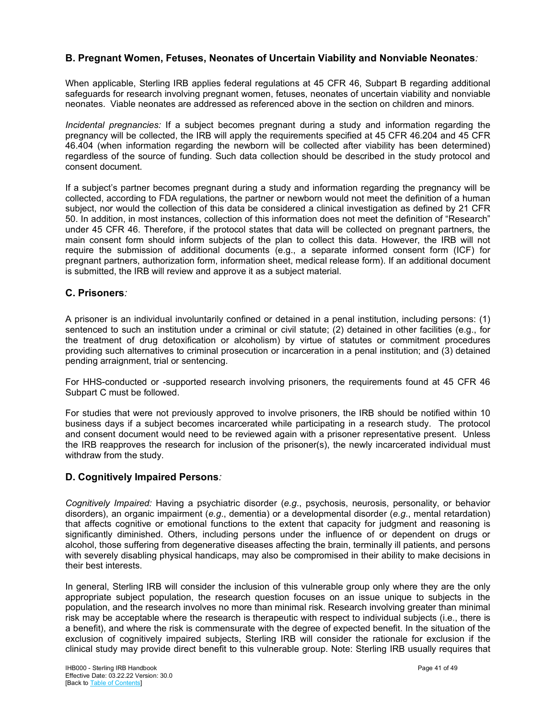## <span id="page-40-0"></span>**B. Pregnant Women, Fetuses, Neonates of Uncertain Viability and Nonviable Neonates***:*

When applicable, Sterling IRB applies federal regulations at 45 CFR 46, Subpart B regarding additional safeguards for research involving pregnant women, fetuses, neonates of uncertain viability and nonviable neonates. Viable neonates are addressed as referenced above in the section on children and minors.

*Incidental pregnancies:* If a subject becomes pregnant during a study and information regarding the pregnancy will be collected, the IRB will apply the requirements specified at 45 CFR 46.204 and 45 CFR 46.404 (when information regarding the newborn will be collected after viability has been determined) regardless of the source of funding. Such data collection should be described in the study protocol and consent document.

If a subject's partner becomes pregnant during a study and information regarding the pregnancy will be collected, according to FDA regulations, the partner or newborn would not meet the definition of a human subject, nor would the collection of this data be considered a clinical investigation as defined by 21 CFR 50. In addition, in most instances, collection of this information does not meet the definition of "Research" under 45 CFR 46. Therefore, if the protocol states that data will be collected on pregnant partners, the main consent form should inform subjects of the plan to collect this data. However, the IRB will not require the submission of additional documents (e.g., a separate informed consent form (ICF) for pregnant partners, authorization form, information sheet, medical release form). If an additional document is submitted, the IRB will review and approve it as a subject material.

## <span id="page-40-1"></span>**C. Prisoners***:*

A prisoner is an individual involuntarily confined or detained in a penal institution, including persons: (1) sentenced to such an institution under a criminal or civil statute; (2) detained in other facilities (e.g., for the treatment of drug detoxification or alcoholism) by virtue of statutes or commitment procedures providing such alternatives to criminal prosecution or incarceration in a penal institution; and (3) detained pending arraignment, trial or sentencing.

For HHS-conducted or -supported research involving prisoners, the requirements found at 45 CFR 46 Subpart C must be followed.

For studies that were not previously approved to involve prisoners, the IRB should be notified within 10 business days if a subject becomes incarcerated while participating in a research study. The protocol and consent document would need to be reviewed again with a prisoner representative present. Unless the IRB reapproves the research for inclusion of the prisoner(s), the newly incarcerated individual must withdraw from the study.

## <span id="page-40-2"></span>**D. Cognitively Impaired Persons***:*

*Cognitively Impaired:* Having a psychiatric disorder (*e.g*., psychosis, neurosis, personality, or behavior disorders), an organic impairment (*e.g*., dementia) or a developmental disorder (*e.g*., mental retardation) that affects cognitive or emotional functions to the extent that capacity for judgment and reasoning is significantly diminished. Others, including persons under the influence of or dependent on drugs or alcohol, those suffering from degenerative diseases affecting the brain, terminally ill patients, and persons with severely disabling physical handicaps, may also be compromised in their ability to make decisions in their best interests.

In general, Sterling IRB will consider the inclusion of this vulnerable group only where they are the only appropriate subject population, the research question focuses on an issue unique to subjects in the population, and the research involves no more than minimal risk. Research involving greater than minimal risk may be acceptable where the research is therapeutic with respect to individual subjects (i.e., there is a benefit), and where the risk is commensurate with the degree of expected benefit. In the situation of the exclusion of cognitively impaired subjects, Sterling IRB will consider the rationale for exclusion if the clinical study may provide direct benefit to this vulnerable group. Note: Sterling IRB usually requires that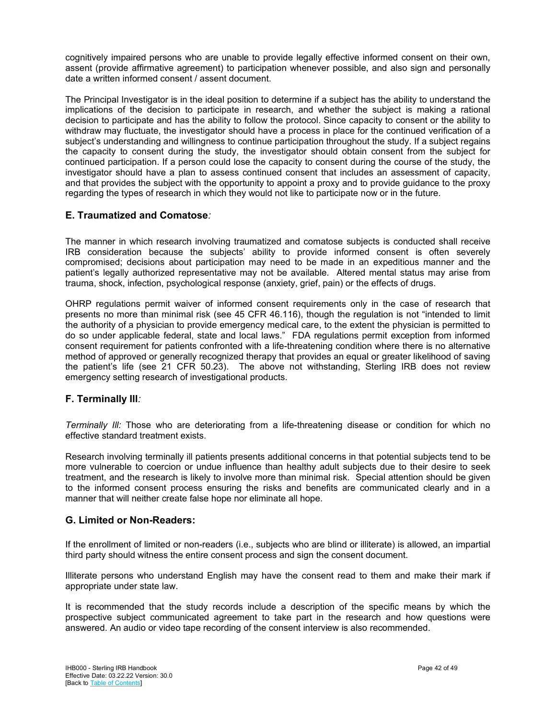cognitively impaired persons who are unable to provide legally effective informed consent on their own, assent (provide affirmative agreement) to participation whenever possible, and also sign and personally date a written informed consent / assent document.

The Principal Investigator is in the ideal position to determine if a subject has the ability to understand the implications of the decision to participate in research, and whether the subject is making a rational decision to participate and has the ability to follow the protocol. Since capacity to consent or the ability to withdraw may fluctuate, the investigator should have a process in place for the continued verification of a subject's understanding and willingness to continue participation throughout the study. If a subject regains the capacity to consent during the study, the investigator should obtain consent from the subject for continued participation. If a person could lose the capacity to consent during the course of the study, the investigator should have a plan to assess continued consent that includes an assessment of capacity, and that provides the subject with the opportunity to appoint a proxy and to provide guidance to the proxy regarding the types of research in which they would not like to participate now or in the future.

## <span id="page-41-0"></span>**E. Traumatized and Comatose***:*

The manner in which research involving traumatized and comatose subjects is conducted shall receive IRB consideration because the subjects' ability to provide informed consent is often severely compromised; decisions about participation may need to be made in an expeditious manner and the patient's legally authorized representative may not be available. Altered mental status may arise from trauma, shock, infection, psychological response (anxiety, grief, pain) or the effects of drugs.

OHRP regulations permit waiver of informed consent requirements only in the case of research that presents no more than minimal risk (see 45 CFR 46.116), though the regulation is not "intended to limit the authority of a physician to provide emergency medical care, to the extent the physician is permitted to do so under applicable federal, state and local laws." FDA regulations permit exception from informed consent requirement for patients confronted with a life-threatening condition where there is no alternative method of approved or generally recognized therapy that provides an equal or greater likelihood of saving the patient's life (see 21 CFR 50.23). The above not withstanding, Sterling IRB does not review emergency setting research of investigational products.

## <span id="page-41-1"></span>**F. Terminally Ill***:*

*Terminally Ill:* Those who are deteriorating from a life-threatening disease or condition for which no effective standard treatment exists.

Research involving terminally ill patients presents additional concerns in that potential subjects tend to be more vulnerable to coercion or undue influence than healthy adult subjects due to their desire to seek treatment, and the research is likely to involve more than minimal risk. Special attention should be given to the informed consent process ensuring the risks and benefits are communicated clearly and in a manner that will neither create false hope nor eliminate all hope.

## <span id="page-41-2"></span>**G. Limited or Non-Readers:**

If the enrollment of limited or non-readers (i.e., subjects who are blind or illiterate) is allowed, an impartial third party should witness the entire consent process and sign the consent document.

Illiterate persons who understand English may have the consent read to them and make their mark if appropriate under state law.

It is recommended that the study records include a description of the specific means by which the prospective subject communicated agreement to take part in the research and how questions were answered. An audio or video tape recording of the consent interview is also recommended.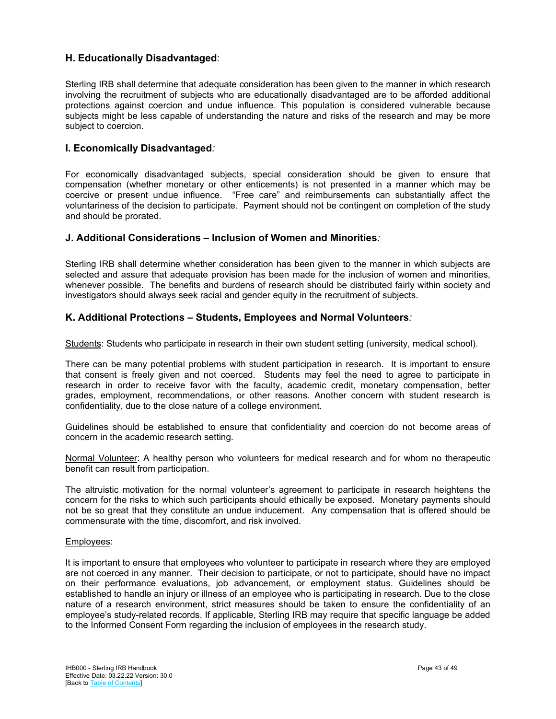## <span id="page-42-0"></span>**H. Educationally Disadvantaged**:

Sterling IRB shall determine that adequate consideration has been given to the manner in which research involving the recruitment of subjects who are educationally disadvantaged are to be afforded additional protections against coercion and undue influence. This population is considered vulnerable because subjects might be less capable of understanding the nature and risks of the research and may be more subject to coercion.

## <span id="page-42-1"></span>**I. Economically Disadvantaged***:*

For economically disadvantaged subjects, special consideration should be given to ensure that compensation (whether monetary or other enticements) is not presented in a manner which may be coercive or present undue influence. "Free care" and reimbursements can substantially affect the voluntariness of the decision to participate. Payment should not be contingent on completion of the study and should be prorated.

#### <span id="page-42-2"></span>**J. Additional Considerations – Inclusion of Women and Minorities***:*

Sterling IRB shall determine whether consideration has been given to the manner in which subjects are selected and assure that adequate provision has been made for the inclusion of women and minorities, whenever possible. The benefits and burdens of research should be distributed fairly within society and investigators should always seek racial and gender equity in the recruitment of subjects.

## <span id="page-42-3"></span>**K. Additional Protections – Students, Employees and Normal Volunteers***:*

Students: Students who participate in research in their own student setting (university, medical school).

There can be many potential problems with student participation in research. It is important to ensure that consent is freely given and not coerced. Students may feel the need to agree to participate in research in order to receive favor with the faculty, academic credit, monetary compensation, better grades, employment, recommendations, or other reasons. Another concern with student research is confidentiality, due to the close nature of a college environment.

Guidelines should be established to ensure that confidentiality and coercion do not become areas of concern in the academic research setting.

Normal Volunteer: A healthy person who volunteers for medical research and for whom no therapeutic benefit can result from participation.

The altruistic motivation for the normal volunteer's agreement to participate in research heightens the concern for the risks to which such participants should ethically be exposed. Monetary payments should not be so great that they constitute an undue inducement. Any compensation that is offered should be commensurate with the time, discomfort, and risk involved.

#### Employees:

It is important to ensure that employees who volunteer to participate in research where they are employed are not coerced in any manner. Their decision to participate, or not to participate, should have no impact on their performance evaluations, job advancement, or employment status. Guidelines should be established to handle an injury or illness of an employee who is participating in research. Due to the close nature of a research environment, strict measures should be taken to ensure the confidentiality of an employee's study-related records. If applicable, Sterling IRB may require that specific language be added to the Informed Consent Form regarding the inclusion of employees in the research study.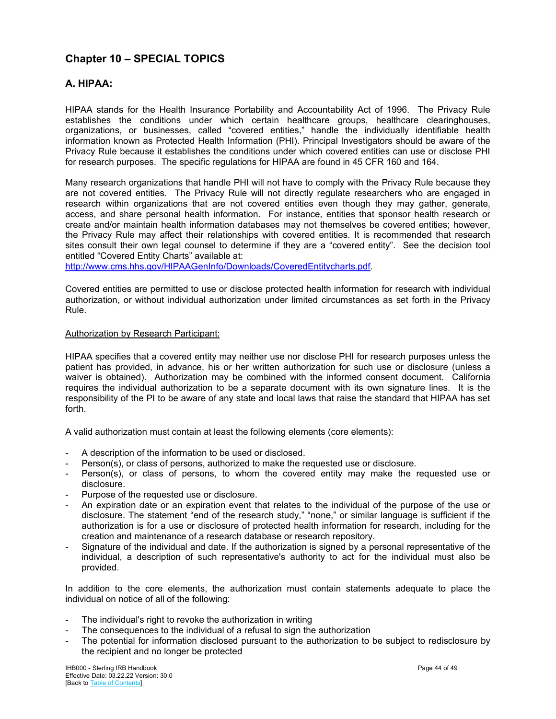## <span id="page-43-0"></span>**Chapter 10 – SPECIAL TOPICS**

## <span id="page-43-1"></span>**A. HIPAA:**

HIPAA stands for the Health Insurance Portability and Accountability Act of 1996. The Privacy Rule establishes the conditions under which certain healthcare groups, healthcare clearinghouses, organizations, or businesses, called "covered entities," handle the individually identifiable health information known as Protected Health Information (PHI). Principal Investigators should be aware of the Privacy Rule because it establishes the conditions under which covered entities can use or disclose PHI for research purposes. The specific regulations for HIPAA are found in 45 CFR 160 and 164.

Many research organizations that handle PHI will not have to comply with the Privacy Rule because they are not covered entities. The Privacy Rule will not directly regulate researchers who are engaged in research within organizations that are not covered entities even though they may gather, generate, access, and share personal health information. For instance, entities that sponsor health research or create and/or maintain health information databases may not themselves be covered entities; however, the Privacy Rule may affect their relationships with covered entities. It is recommended that research sites consult their own legal counsel to determine if they are a "covered entity". See the decision tool entitled "Covered Entity Charts" available at:

[http://www.cms.hhs.gov/HIPAAGenInfo/Downloads/CoveredEntitycharts.pdf.](http://www.cms.hhs.gov/HIPAAGenInfo/Downloads/CoveredEntitycharts.pdf)

Covered entities are permitted to use or disclose protected health information for research with individual authorization, or without individual authorization under limited circumstances as set forth in the Privacy Rule.

#### Authorization by Research Participant:

HIPAA specifies that a covered entity may neither use nor disclose PHI for research purposes unless the patient has provided, in advance, his or her written authorization for such use or disclosure (unless a waiver is obtained). Authorization may be combined with the informed consent document. California requires the individual authorization to be a separate document with its own signature lines. It is the responsibility of the PI to be aware of any state and local laws that raise the standard that HIPAA has set forth.

A valid authorization must contain at least the following elements (core elements):

- A description of the information to be used or disclosed.
- Person(s), or class of persons, authorized to make the requested use or disclosure.
- Person(s), or class of persons, to whom the covered entity may make the requested use or disclosure.
- Purpose of the requested use or disclosure.
- An expiration date or an expiration event that relates to the individual of the purpose of the use or disclosure. The statement "end of the research study," "none," or similar language is sufficient if the authorization is for a use or disclosure of protected health information for research, including for the creation and maintenance of a research database or research repository.
- Signature of the individual and date. If the authorization is signed by a personal representative of the individual, a description of such representative's authority to act for the individual must also be provided.

In addition to the core elements, the authorization must contain statements adequate to place the individual on notice of all of the following:

- The individual's right to revoke the authorization in writing
- The consequences to the individual of a refusal to sign the authorization
- The potential for information disclosed pursuant to the authorization to be subject to redisclosure by the recipient and no longer be protected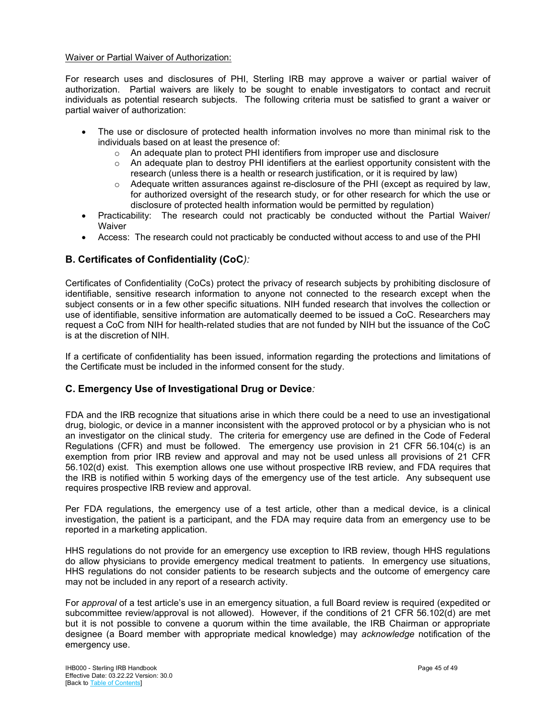#### Waiver or Partial Waiver of Authorization:

For research uses and disclosures of PHI, Sterling IRB may approve a waiver or partial waiver of authorization. Partial waivers are likely to be sought to enable investigators to contact and recruit individuals as potential research subjects. The following criteria must be satisfied to grant a waiver or partial waiver of authorization:

- The use or disclosure of protected health information involves no more than minimal risk to the individuals based on at least the presence of:
	- $\circ$  An adequate plan to protect PHI identifiers from improper use and disclosure<br> $\circ$  An adequate plan to destrov PHI identifiers at the earliest opportunity consis
	- An adequate plan to destroy PHI identifiers at the earliest opportunity consistent with the research (unless there is a health or research justification, or it is required by law)
	- o Adequate written assurances against re-disclosure of the PHI (except as required by law, for authorized oversight of the research study, or for other research for which the use or disclosure of protected health information would be permitted by regulation)
- Practicability: The research could not practicably be conducted without the Partial Waiver/ **Waiver**
- Access: The research could not practicably be conducted without access to and use of the PHI

## <span id="page-44-0"></span>**B. Certificates of Confidentiality (CoC***):*

Certificates of Confidentiality (CoCs) protect the privacy of research subjects by prohibiting disclosure of identifiable, sensitive research information to anyone not connected to the research except when the subject consents or in a few other specific situations. NIH funded research that involves the collection or use of identifiable, sensitive information are automatically deemed to be issued a CoC. Researchers may request a CoC from NIH for health-related studies that are not funded by NIH but the issuance of the CoC is at the discretion of NIH.

If a certificate of confidentiality has been issued, information regarding the protections and limitations of the Certificate must be included in the informed consent for the study.

## <span id="page-44-1"></span>**C. Emergency Use of Investigational Drug or Device***:*

FDA and the IRB recognize that situations arise in which there could be a need to use an investigational drug, biologic, or device in a manner inconsistent with the approved protocol or by a physician who is not an investigator on the clinical study. The criteria for emergency use are defined in the Code of Federal Regulations (CFR) and must be followed. The emergency use provision in 21 CFR 56.104(c) is an exemption from prior IRB review and approval and may not be used unless all provisions of 21 CFR 56.102(d) exist. This exemption allows one use without prospective IRB review, and FDA requires that the IRB is notified within 5 working days of the emergency use of the test article. Any subsequent use requires prospective IRB review and approval.

Per FDA regulations, the emergency use of a test article, other than a medical device, is a clinical investigation, the patient is a participant, and the FDA may require data from an emergency use to be reported in a marketing application.

HHS regulations do not provide for an emergency use exception to IRB review, though HHS regulations do allow physicians to provide emergency medical treatment to patients. In emergency use situations, HHS regulations do not consider patients to be research subjects and the outcome of emergency care may not be included in any report of a research activity.

For *approval* of a test article's use in an emergency situation, a full Board review is required (expedited or subcommittee review/approval is not allowed). However, if the conditions of 21 CFR 56.102(d) are met but it is not possible to convene a quorum within the time available, the IRB Chairman or appropriate designee (a Board member with appropriate medical knowledge) may *acknowledge* notification of the emergency use.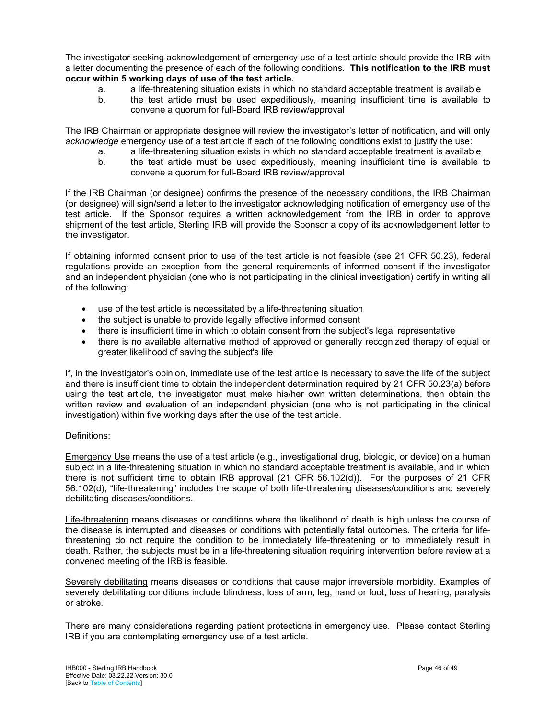The investigator seeking acknowledgement of emergency use of a test article should provide the IRB with a letter documenting the presence of each of the following conditions. **This notification to the IRB must occur within 5 working days of use of the test article.**

- a. a life-threatening situation exists in which no standard acceptable treatment is available
- b. the test article must be used expeditiously, meaning insufficient time is available to convene a quorum for full-Board IRB review/approval

The IRB Chairman or appropriate designee will review the investigator's letter of notification, and will only *acknowledge* emergency use of a test article if each of the following conditions exist to justify the use:

- a. a life-threatening situation exists in which no standard acceptable treatment is available
- b. the test article must be used expeditiously, meaning insufficient time is available to convene a quorum for full-Board IRB review/approval

If the IRB Chairman (or designee) confirms the presence of the necessary conditions, the IRB Chairman (or designee) will sign/send a letter to the investigator acknowledging notification of emergency use of the test article. If the Sponsor requires a written acknowledgement from the IRB in order to approve shipment of the test article, Sterling IRB will provide the Sponsor a copy of its acknowledgement letter to the investigator.

If obtaining informed consent prior to use of the test article is not feasible (see 21 CFR 50.23), federal regulations provide an exception from the general requirements of informed consent if the investigator and an independent physician (one who is not participating in the clinical investigation) certify in writing all of the following:

- use of the test article is necessitated by a life-threatening situation
- the subject is unable to provide legally effective informed consent
- there is insufficient time in which to obtain consent from the subject's legal representative
- there is no available alternative method of approved or generally recognized therapy of equal or greater likelihood of saving the subject's life

If, in the investigator's opinion, immediate use of the test article is necessary to save the life of the subject and there is insufficient time to obtain the independent determination required by 21 CFR 50.23(a) before using the test article, the investigator must make his/her own written determinations, then obtain the written review and evaluation of an independent physician (one who is not participating in the clinical investigation) within five working days after the use of the test article.

#### Definitions:

Emergency Use means the use of a test article (e.g., investigational drug, biologic, or device) on a human subject in a life-threatening situation in which no standard acceptable treatment is available, and in which there is not sufficient time to obtain IRB approval (21 CFR 56.102(d)). For the purposes of 21 CFR 56.102(d), "life-threatening" includes the scope of both life-threatening diseases/conditions and severely debilitating diseases/conditions.

Life-threatening means diseases or conditions where the likelihood of death is high unless the course of the disease is interrupted and diseases or conditions with potentially fatal outcomes. The criteria for lifethreatening do not require the condition to be immediately life-threatening or to immediately result in death. Rather, the subjects must be in a life-threatening situation requiring intervention before review at a convened meeting of the IRB is feasible.

Severely debilitating means diseases or conditions that cause major irreversible morbidity. Examples of severely debilitating conditions include blindness, loss of arm, leg, hand or foot, loss of hearing, paralysis or stroke.

There are many considerations regarding patient protections in emergency use. Please contact Sterling IRB if you are contemplating emergency use of a test article.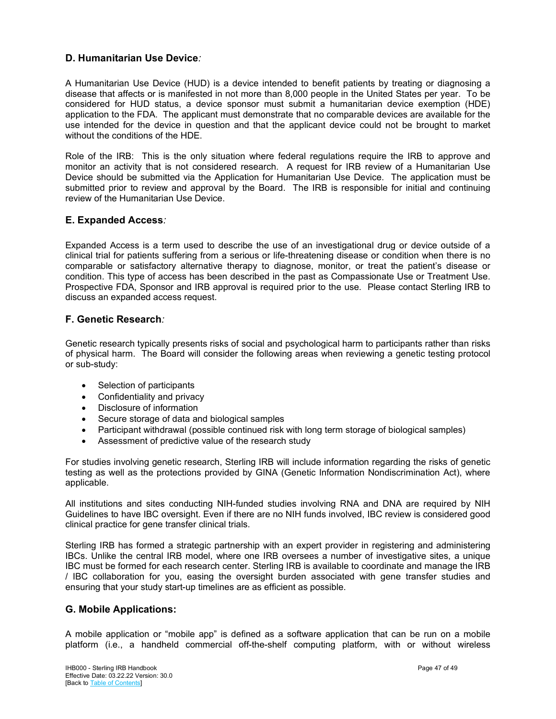## <span id="page-46-0"></span>**D. Humanitarian Use Device***:*

A Humanitarian Use Device (HUD) is a device intended to benefit patients by treating or diagnosing a disease that affects or is manifested in not more than 8,000 people in the United States per year. To be considered for HUD status, a device sponsor must submit a humanitarian device exemption (HDE) application to the FDA. The applicant must demonstrate that no comparable devices are available for the use intended for the device in question and that the applicant device could not be brought to market without the conditions of the HDE.

Role of the IRB: This is the only situation where federal regulations require the IRB to approve and monitor an activity that is not considered research. A request for IRB review of a Humanitarian Use Device should be submitted via the Application for Humanitarian Use Device. The application must be submitted prior to review and approval by the Board. The IRB is responsible for initial and continuing review of the Humanitarian Use Device.

## <span id="page-46-1"></span>**E. Expanded Access***:*

Expanded Access is a term used to describe the use of an investigational drug or device outside of a clinical trial for patients suffering from a serious or life-threatening disease or condition when there is no comparable or satisfactory alternative therapy to diagnose, monitor, or treat the patient's disease or condition. This type of access has been described in the past as Compassionate Use or Treatment Use. Prospective FDA, Sponsor and IRB approval is required prior to the use. Please contact Sterling IRB to discuss an expanded access request.

## <span id="page-46-2"></span>**F. Genetic Research***:*

Genetic research typically presents risks of social and psychological harm to participants rather than risks of physical harm. The Board will consider the following areas when reviewing a genetic testing protocol or sub-study:

- Selection of participants
- Confidentiality and privacy
- Disclosure of information
- Secure storage of data and biological samples
- Participant withdrawal (possible continued risk with long term storage of biological samples)
- Assessment of predictive value of the research study

For studies involving genetic research, Sterling IRB will include information regarding the risks of genetic testing as well as the protections provided by GINA (Genetic Information Nondiscrimination Act), where applicable.

All institutions and sites conducting NIH-funded studies involving RNA and DNA are required by NIH Guidelines to have IBC oversight. Even if there are no NIH funds involved, IBC review is considered good clinical practice for gene transfer clinical trials.

Sterling IRB has formed a strategic partnership with an expert provider in registering and administering IBCs. Unlike the central IRB model, where one IRB oversees a number of investigative sites, a unique IBC must be formed for each research center. Sterling IRB is available to coordinate and manage the IRB / IBC collaboration for you, easing the oversight burden associated with gene transfer studies and ensuring that your study start-up timelines are as efficient as possible.

## <span id="page-46-3"></span>**G. Mobile Applications:**

A mobile application or "mobile app" is defined as a software application that can be run on a mobile platform (i.e., a handheld commercial off-the-shelf computing platform, with or without wireless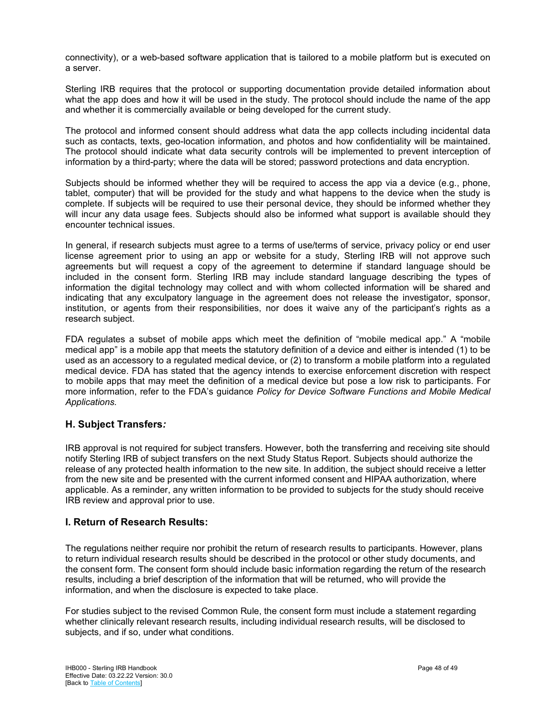connectivity), or a web-based software application that is tailored to a mobile platform but is executed on a server.

Sterling IRB requires that the protocol or supporting documentation provide detailed information about what the app does and how it will be used in the study. The protocol should include the name of the app and whether it is commercially available or being developed for the current study.

The protocol and informed consent should address what data the app collects including incidental data such as contacts, texts, geo-location information, and photos and how confidentiality will be maintained. The protocol should indicate what data security controls will be implemented to prevent interception of information by a third-party; where the data will be stored; password protections and data encryption.

Subjects should be informed whether they will be required to access the app via a device (e.g., phone, tablet, computer) that will be provided for the study and what happens to the device when the study is complete. If subjects will be required to use their personal device, they should be informed whether they will incur any data usage fees. Subjects should also be informed what support is available should they encounter technical issues.

In general, if research subjects must agree to a terms of use/terms of service, privacy policy or end user license agreement prior to using an app or website for a study, Sterling IRB will not approve such agreements but will request a copy of the agreement to determine if standard language should be included in the consent form. Sterling IRB may include standard language describing the types of information the digital technology may collect and with whom collected information will be shared and indicating that any exculpatory language in the agreement does not release the investigator, sponsor, institution, or agents from their responsibilities, nor does it waive any of the participant's rights as a research subject.

FDA regulates a subset of mobile apps which meet the definition of "mobile medical app." A "mobile medical app" is a mobile app that meets the statutory definition of a device and either is intended (1) to be used as an accessory to a regulated medical device, or (2) to transform a mobile platform into a regulated medical device. FDA has stated that the agency intends to exercise enforcement discretion with respect to mobile apps that may meet the definition of a medical device but pose a low risk to participants. For more information, refer to the FDA's guidance *Policy for Device Software Functions and Mobile Medical Applications.*

## <span id="page-47-0"></span>**H. Subject Transfers***:*

IRB approval is not required for subject transfers. However, both the transferring and receiving site should notify Sterling IRB of subject transfers on the next Study Status Report. Subjects should authorize the release of any protected health information to the new site. In addition, the subject should receive a letter from the new site and be presented with the current informed consent and HIPAA authorization, where applicable. As a reminder, any written information to be provided to subjects for the study should receive IRB review and approval prior to use.

## <span id="page-47-1"></span>**I. Return of Research Results:**

The regulations neither require nor prohibit the return of research results to participants. However, plans to return individual research results should be described in the protocol or other study documents, and the consent form. The consent form should include basic information regarding the return of the research results, including a brief description of the information that will be returned, who will provide the information, and when the disclosure is expected to take place.

For studies subject to the revised Common Rule, the consent form must include a statement regarding whether clinically relevant research results, including individual research results, will be disclosed to subjects, and if so, under what conditions.